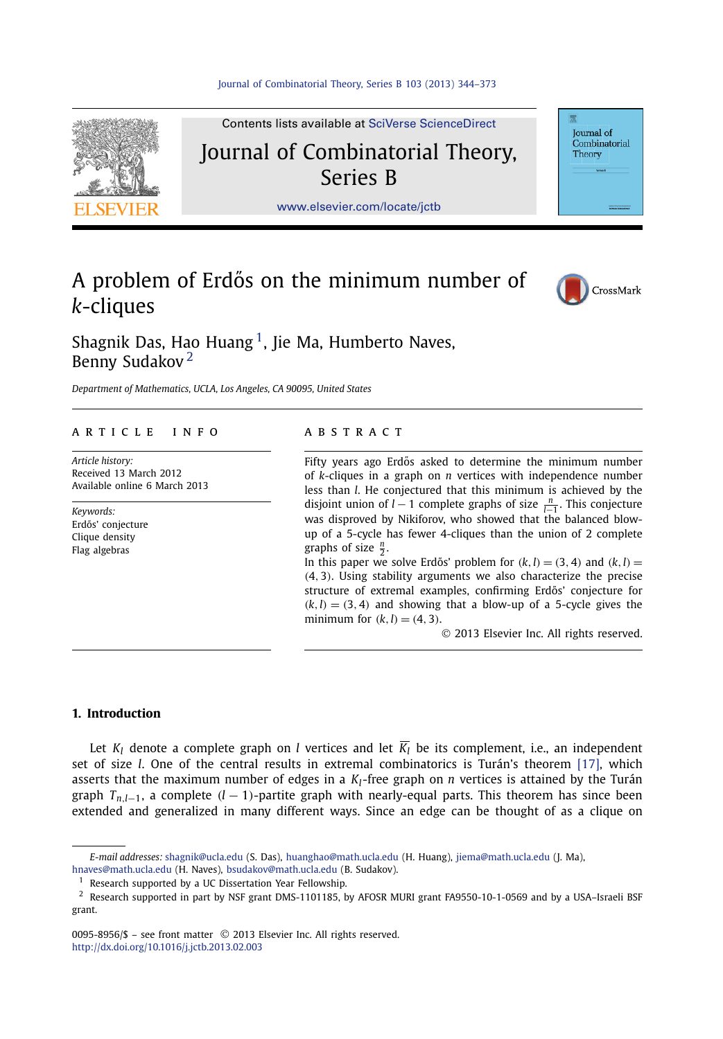

# Contents lists available at [SciVerse ScienceDirect](http://www.ScienceDirect.com/) Journal of Combinatorial Theory, Series B

[www.elsevier.com/locate/jctb](http://www.elsevier.com/locate/jctb)

## A problem of Erdős on the minimum number of *k*-cliques



**Journal** of Combinatorial Theory

## Shagnik Das, Hao Huang<sup>1</sup>, Jie Ma, Humberto Naves, Benny Sudakov <sup>2</sup>

*Department of Mathematics, UCLA, Los Angeles, CA 90095, United States*

#### article info abstract

*Article history:* Received 13 March 2012 Available online 6 March 2013

*Keywords:* Erdős' conjecture Clique density Flag algebras

Fifty years ago Erdős asked to determine the minimum number of *k*-cliques in a graph on *n* vertices with independence number less than *l*. He conjectured that this minimum is achieved by the disjoint union of *l* − 1 complete graphs of size  $\frac{n}{l-1}$ . This conjecture was disproved by Nikiforov, who showed that the balanced blowup of a 5-cycle has fewer 4-cliques than the union of 2 complete graphs of size *<sup>n</sup>* 2 . In this paper we solve Erdős' problem for  $(k, l) = (3, 4)$  and  $(k, l) =$ 

*(*4*,* 3*)*. Using stability arguments we also characterize the precise structure of extremal examples, confirming Erdős' conjecture for  $(k, l) = (3, 4)$  and showing that a blow-up of a 5-cycle gives the minimum for  $(k, l) = (4, 3)$ .

© 2013 Elsevier Inc. All rights reserved.

#### **1. Introduction**

Let  $K_l$  denote a complete graph on *l* vertices and let  $\overline{K_l}$  be its complement, i.e., an independent set of size *l*. One of the central results in extremal combinatorics is Turán's theorem [\[17\],](#page-29-0) which asserts that the maximum number of edges in a *Kl*-free graph on *n* vertices is attained by the Turán graph  $T_{n,l-1}$ , a complete  $(l-1)$ -partite graph with nearly-equal parts. This theorem has since been extended and generalized in many different ways. Since an edge can be thought of as a clique on

*E-mail addresses:* [shagnik@ucla.edu](mailto:shagnik@ucla.edu) (S. Das), [huanghao@math.ucla.edu](mailto:huanghao@math.ucla.edu) (H. Huang), [jiema@math.ucla.edu](mailto:jiema@math.ucla.edu) (J. Ma), [hnaves@math.ucla.edu](mailto:hnaves@math.ucla.edu) (H. Naves), [bsudakov@math.ucla.edu](mailto:bsudakov@math.ucla.edu) (B. Sudakov).

<sup>&</sup>lt;sup>1</sup> Research supported by a UC Dissertation Year Fellowship.

<sup>2</sup> Research supported in part by NSF grant DMS-1101185, by AFOSR MURI grant FA9550-10-1-0569 and by a USA–Israeli BSF grant.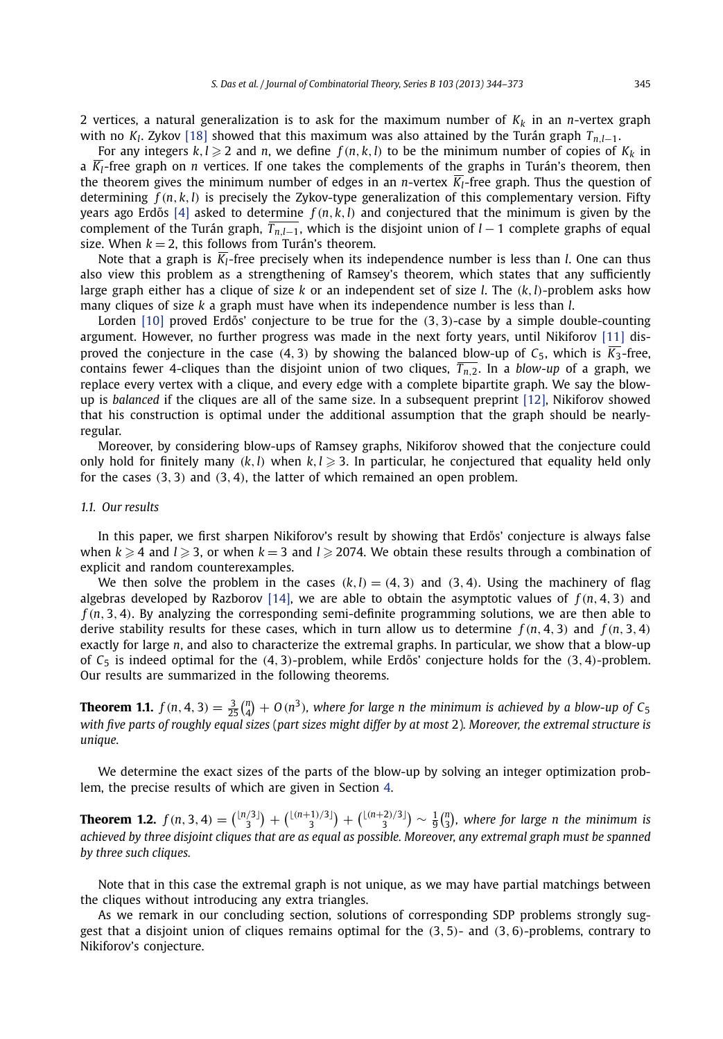2 vertices, a natural generalization is to ask for the maximum number of  $K_k$  in an *n*-vertex graph with no *Kl*. Zykov [\[18\]](#page-29-0) showed that this maximum was also attained by the Turán graph *Tn,l*−1.

For any integers  $k, l \geqslant 2$  and *n*, we define  $f(n, k, l)$  to be the minimum number of copies of  $K_k$  in a  $\overline{K}_l$ -free graph on *n* vertices. If one takes the complements of the graphs in Turán's theorem, then the theorem gives the minimum number of edges in an *n*-vertex  $\overline{K_1}$ -free graph. Thus the question of determining  $f(n, k, l)$  is precisely the Zykov-type generalization of this complementary version. Fifty years ago Erdős<sup>[\[4\]](#page-28-0)</sup> asked to determine  $f(n, k, l)$  and conjectured that the minimum is given by the complement of the Turán graph,  $\overline{T_{n,l-1}}$ , which is the disjoint union of *l* − 1 complete graphs of equal size. When  $k = 2$ , this follows from Turán's theorem.

Note that a graph is  $\overline{K}_l$ -free precisely when its independence number is less than *l*. One can thus also view this problem as a strengthening of Ramsey's theorem, which states that any sufficiently large graph either has a clique of size *k* or an independent set of size *l*. The *(k,l)*-problem asks how many cliques of size *k* a graph must have when its independence number is less than *l*.

Lorden  $[10]$  proved Erdős' conjecture to be true for the  $(3, 3)$ -case by a simple double-counting argument. However, no further progress was made in the next forty years, until Nikiforov [\[11\]](#page-29-0) disproved the conjecture in the case (4, 3) by showing the balanced blow-up of  $C_5$ , which is  $\overline{K_3}$ -free, contains fewer 4-cliques than the disjoint union of two cliques,  $T_{n,2}$ . In a *blow-up* of a graph, we replace every vertex with a clique, and every edge with a complete bipartite graph. We say the blowup is *balanced* if the cliques are all of the same size. In a subsequent preprint [\[12\],](#page-29-0) Nikiforov showed that his construction is optimal under the additional assumption that the graph should be nearlyregular.

Moreover, by considering blow-ups of Ramsey graphs, Nikiforov showed that the conjecture could only hold for finitely many  $(k,l)$  when  $k,l \geqslant 3$ . In particular, he conjectured that equality held only for the cases *(*3*,* 3*)* and *(*3*,* 4*)*, the latter of which remained an open problem.

#### *1.1. Our results*

In this paper, we first sharpen Nikiforov's result by showing that Erdős' conjecture is always false when  $k \geqslant 4$  and  $l \geqslant 3$ , or when  $k = 3$  and  $l \geqslant 2074$ . We obtain these results through a combination of explicit and random counterexamples.

We then solve the problem in the cases  $(k, l) = (4, 3)$  and  $(3, 4)$ . Using the machinery of flag algebras developed by Razborov [\[14\],](#page-29-0) we are able to obtain the asymptotic values of  $f(n, 4, 3)$  and  $f(n, 3, 4)$ . By analyzing the corresponding semi-definite programming solutions, we are then able to derive stability results for these cases, which in turn allow us to determine  $f(n, 4, 3)$  and  $f(n, 3, 4)$ exactly for large *n*, and also to characterize the extremal graphs. In particular, we show that a blow-up of  $C_5$  is indeed optimal for the  $(4, 3)$ -problem, while Erdős' conjecture holds for the  $(3, 4)$ -problem. Our results are summarized in the following theorems.

**Theorem 1.1.**  $f(n, 4, 3) = \frac{3}{25} {n \choose 4} + O(n^3)$ , where for large n the minimum is achieved by a blow-up of C<sub>5</sub> *with five parts of roughly equal sizes* (*part sizes might differ by at most* 2)*. Moreover, the extremal structure is unique.*

We determine the exact sizes of the parts of the blow-up by solving an integer optimization problem, the precise results of which are given in Section [4.](#page-10-0)

**Theorem 1.2.**  $f(n, 3, 4) = {ln/3 \choose 3} + {ln/3 \choose 3} + {ln/2 \choose 3} \sim \frac{1}{9} {n \choose 3}$ , where for large n the minimum is *achieved by three disjoint cliques that are as equal as possible. Moreover, any extremal graph must be spanned by three such cliques.*

Note that in this case the extremal graph is not unique, as we may have partial matchings between the cliques without introducing any extra triangles.

As we remark in our concluding section, solutions of corresponding SDP problems strongly suggest that a disjoint union of cliques remains optimal for the *(*3*,* 5*)*- and *(*3*,* 6*)*-problems, contrary to Nikiforov's conjecture.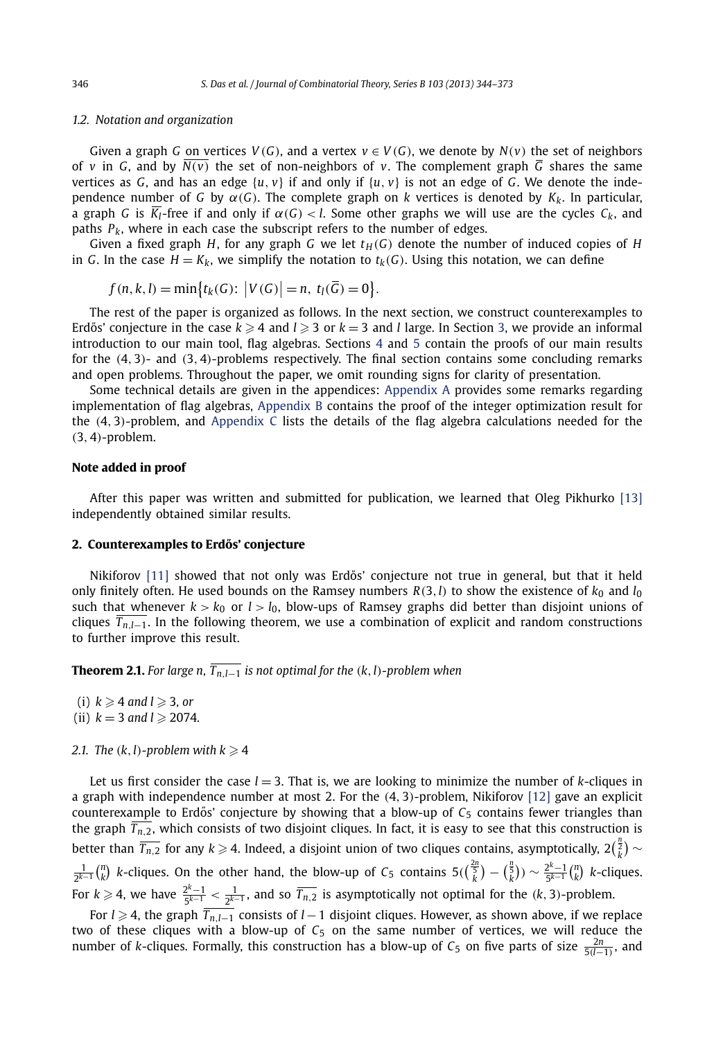#### *1.2. Notation and organization*

Given a graph *G* on vertices  $V(G)$ , and a vertex  $v \in V(G)$ , we denote by  $N(v)$  the set of neighbors of *v* in *G*, and by  $\overline{N(v)}$  the set of non-neighbors of *v*. The complement graph  $\overline{G}$  shares the same vertices as *G*, and has an edge  $\{u, v\}$  if and only if  $\{u, v\}$  is not an edge of *G*. We denote the independence number of *G* by *α(G)*. The complete graph on *k* vertices is denoted by *Kk*. In particular, a graph *G* is  $\overline{K}_l$ -free if and only if  $\alpha(G) < l$ . Some other graphs we will use are the cycles  $C_k$ , and paths  $P_k$ , where in each case the subscript refers to the number of edges.

Given a fixed graph *H*, for any graph *G* we let  $t_H$  (*G*) denote the number of induced copies of *H* in *G*. In the case  $H = K_k$ , we simplify the notation to  $t_k(G)$ . Using this notation, we can define

$$
f(n, k, l) = \min\{t_k(G): |V(G)| = n, t_l(\overline{G}) = 0\}.
$$

The rest of the paper is organized as follows. In the next section, we construct counterexamples to Erdős' conjecture in the case *k* ≥ 4 and *l* ≥ 3 or *k* = 3 and *l* large. In Section [3,](#page-4-0) we provide an informal introduction to our main tool, flag algebras. Sections [4](#page-10-0) and [5](#page-18-0) contain the proofs of our main results for the *(*4*,* 3*)*- and *(*3*,* 4*)*-problems respectively. The final section contains some concluding remarks and open problems. Throughout the paper, we omit rounding signs for clarity of presentation.

Some technical details are given in the appendices: [Appendix A](#page-21-0) provides some remarks regarding implementation of flag algebras, [Appendix B](#page-24-0) contains the proof of the integer optimization result for the *(*4*,* 3*)*-problem, and [Appendix C](#page-25-0) lists the details of the flag algebra calculations needed for the *(*3*,* 4*)*-problem.

#### **Note added in proof**

After this paper was written and submitted for publication, we learned that Oleg Pikhurko [\[13\]](#page-29-0) independently obtained similar results.

#### **2. Counterexamples to Erdos' conjecture ˝**

Nikiforov [\[11\]](#page-29-0) showed that not only was Erdős' conjecture not true in general, but that it held only finitely often. He used bounds on the Ramsey numbers  $R(3, l)$  to show the existence of  $k_0$  and  $l_0$ such that whenever  $k > k_0$  or  $l > l_0$ , blow-ups of Ramsey graphs did better than disjoint unions of cliques  $\overline{T_{n,l-1}}$ . In the following theorem, we use a combination of explicit and random constructions to further improve this result.

**Theorem 2.1.** For large n,  $\overline{T_{n,l-1}}$  is not optimal for the  $(k, l)$ -problem when

(i) *k* ≥ 4 and *l* ≥ 3, or

(ii)  $k = 3$  and  $l \ge 2074$ .

2.1. The  $(k, l)$ -problem with  $k \geqslant 4$ 

Let us first consider the case  $l = 3$ . That is, we are looking to minimize the number of  $k$ -cliques in a graph with independence number at most 2. For the *(*4*,* 3*)*-problem, Nikiforov [\[12\]](#page-29-0) gave an explicit counterexample to Erdős' conjecture by showing that a blow-up of  $C_5$  contains fewer triangles than the graph  $\overline{T_{n,2}}$ , which consists of two disjoint cliques. In fact, it is easy to see that this construction is better than  $\overline{T_{n,2}}$  for any  $k\geqslant 4$ . Indeed, a disjoint union of two cliques contains, asymptotically, 2 $\binom{\frac{n}{2}}{k}\sim$  $\frac{1}{2^{k-1}} {n \choose k}$  k-cliques. On the other hand, the blow-up of  $C_5$  contains  $5({25 \over k}) - {n \over 2}) \sim \frac{2^k-1}{5^{k-1}} {n \choose k}$  k-cliques. For  $k \geqslant 4$ , we have  $\frac{2^k-1}{5^{k-1}} < \frac{1}{2^{k-1}}$ , and so  $\overline{T_{n,2}}$  is asymptotically not optimal for the  $(k,3)$ -problem.

For *l* ≥ 4, the graph  $\overline{T_{n,l-1}}$  consists of *l* − 1 disjoint cliques. However, as shown above, if we replace two of these cliques with a blow-up of  $C_5$  on the same number of vertices, we will reduce the number of *k*-cliques. Formally, this construction has a blow-up of  $C_5$  on five parts of size  $\frac{2n}{5(l-1)}$ , and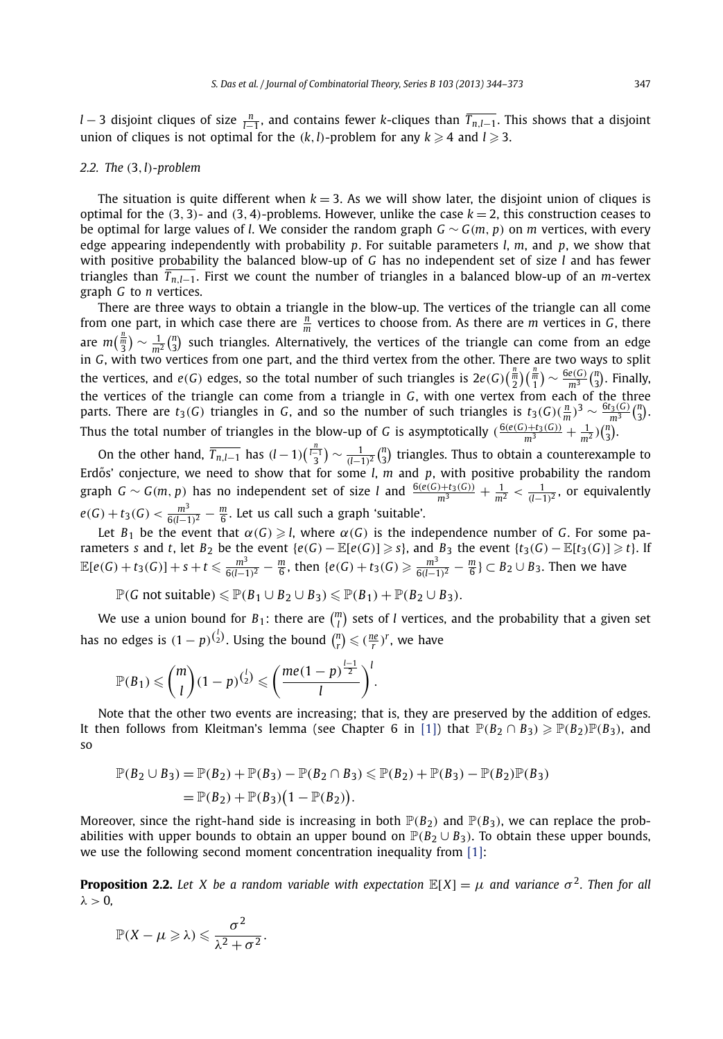*l* − 3 disjoint cliques of size  $\frac{n}{l-1}$ , and contains fewer *k*-cliques than  $\overline{T_{n,l-1}}$ . This shows that a disjoint union of cliques is not optimal for the  $(k,l)$ -problem for any  $k\geqslant 4$  and  $l\geqslant 3.$ 

#### *2.2. The (*3*,l)-problem*

The situation is quite different when  $k = 3$ . As we will show later, the disjoint union of cliques is optimal for the  $(3, 3)$ - and  $(3, 4)$ -problems. However, unlike the case  $k = 2$ , this construction ceases to be optimal for large values of *l*. We consider the random graph *G* ∼ *G(m, p)* on *m* vertices, with every edge appearing independently with probability *p*. For suitable parameters *l*, *m*, and *p*, we show that with positive probability the balanced blow-up of *G* has no independent set of size *l* and has fewer triangles than  $T_{n,l-1}$ . First we count the number of triangles in a balanced blow-up of an *m*-vertex graph *G* to *n* vertices.

There are three ways to obtain a triangle in the blow-up. The vertices of the triangle can all come from one part, in which case there are  $\frac{n}{m}$  vertices to choose from. As there are *m* vertices in *G*, there are  $m(\frac{\pi}{3}) \sim \frac{1}{m^2} {n \choose 3}$  such triangles. Alternatively, the vertices of the triangle can come from an edge in *G*, with two vertices from one part, and the third vertex from the other. There are two ways to split the vertices, and  $e(G)$  edges, so the total number of such triangles is  $2e(G)(\frac{n}{2})(\frac{n}{1}) \sim \frac{6e(G)}{m^3}(\frac{n}{3})$ . Finally, the vertices of the triangle can come from a triangle in *G*, with one vertex from each of the three parts. There are  $t_3(G)$  triangles in G, and so the number of such triangles is  $t_3(G)(\frac{n}{m})^3 \sim \frac{6t_3(G)}{m^3} {n \choose 3}$ . Thus the total number of triangles in the blow-up of *G* is asymptotically  $(\frac{6(e(G)+t_3(G))}{m^3}+\frac{1}{m^2})(\frac{n}{3})$ .

On the other hand,  $\overline{T_{n,l-1}}$  has  $(l-1)\left(\frac{l-1}{3}\right) \sim \frac{1}{(l-1)^2} {n \choose 3}$  triangles. Thus to obtain a counterexample to Erdős' conjecture, we need to show that for some *l*, *m* and *p*, with positive probability the random graph  $G \sim G(m, p)$  has no independent set of size l and  $\frac{6(e(G)+t_3(G))}{m^3} + \frac{1}{m^2} < \frac{1}{(l-1)^2}$ , or equivalently  $e(G) + t_3(G) < \frac{m^3}{6(l-1)^2} - \frac{m}{6}$ . Let us call such a graph 'suitable'.

Let  $B_1$  be the event that  $\alpha(G) \geq l$ , where  $\alpha(G)$  is the independence number of *G*. For some parameters s and t, let  $B_2$  be the event { $e(G) - \mathbb{E}[e(G)] \geq s$ }, and  $B_3$  the event { $t_3(G) - \mathbb{E}[t_3(G)] \geq t$ }. If  $\mathbb{E}[e(G)+t_3(G)]+s+t\leqslant\frac{m^3}{6(l-1)^2}-\frac{m}{6},$  then  $\{e(G)+t_3(G)\geqslant\frac{m^3}{6(l-1)^2}-\frac{m}{6}\}\subset B_2\cup B_3$ . Then we have

 $\mathbb{P}(G \text{ not suitable}) \leq \mathbb{P}(B_1 \cup B_2 \cup B_3) \leq \mathbb{P}(B_1) + \mathbb{P}(B_2 \cup B_3).$ 

We use a union bound for  $B_1$ : there are  $\binom{m}{l}$  sets of *l* vertices, and the probability that a given set has no edges is  $(1-p)^{{l \choose 2}}$ . Using the bound  ${n \choose r} \leqslant \left(\frac{ne}{r}\right)^r$ , we have

$$
\mathbb{P}(B_1) \leqslant {m \choose l} (1-p)^{{l \choose 2}} \leqslant \left(\frac{me(1-p)^{\frac{l-1}{2}}}{l}\right)^l.
$$

Note that the other two events are increasing; that is, they are preserved by the addition of edges. It then follows from Kleitman's lemma (see Chapter 6 in [\[1\]\)](#page-28-0) that  $\mathbb{P}(B_2 \cap B_3) \geq \mathbb{P}(B_2)\mathbb{P}(B_3)$ , and so

$$
\mathbb{P}(B_2 \cup B_3) = \mathbb{P}(B_2) + \mathbb{P}(B_3) - \mathbb{P}(B_2 \cap B_3) \le \mathbb{P}(B_2) + \mathbb{P}(B_3) - \mathbb{P}(B_2)\mathbb{P}(B_3) \n= \mathbb{P}(B_2) + \mathbb{P}(B_3)(1 - \mathbb{P}(B_2)).
$$

Moreover, since the right-hand side is increasing in both  $\mathbb{P}(B_2)$  and  $\mathbb{P}(B_3)$ , we can replace the probabilities with upper bounds to obtain an upper bound on  $\mathbb{P}(B_2 \cup B_3)$ . To obtain these upper bounds, we use the following second moment concentration inequality from [\[1\]:](#page-28-0)

**Proposition 2.2.** Let X be a random variable with expectation  $E[X] = \mu$  and variance  $\sigma^2$ . Then for all *λ >* 0*,*

$$
\mathbb{P}(X-\mu\geqslant\lambda)\leqslant\frac{\sigma^2}{\lambda^2+\sigma^2}.
$$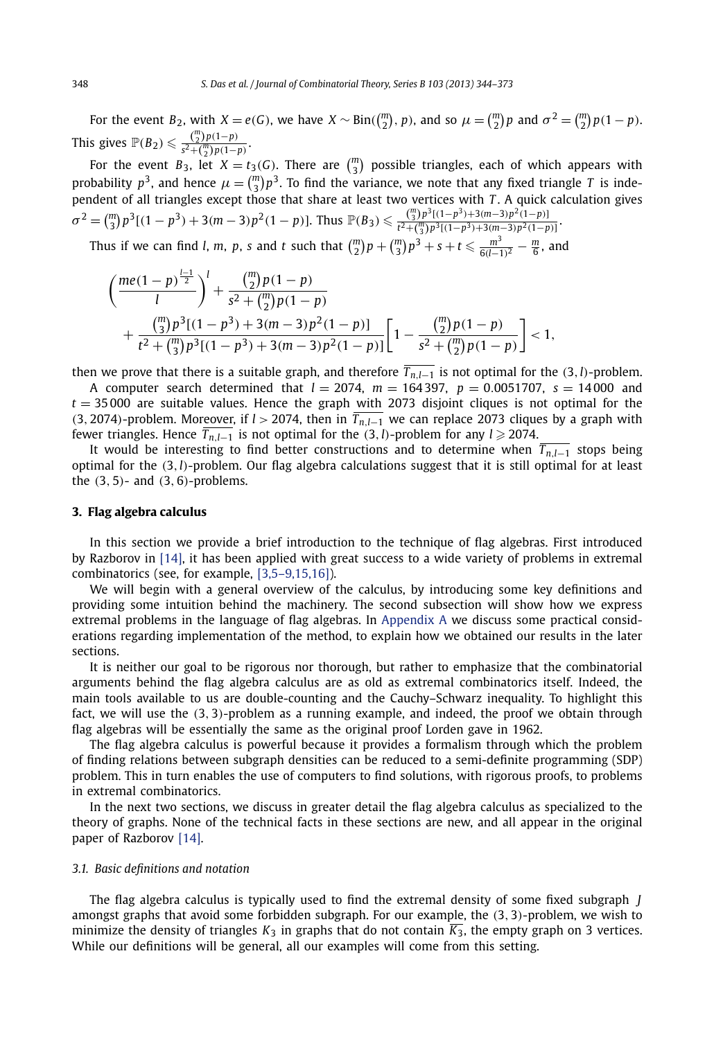<span id="page-4-0"></span>For the event  $B_2$ , with  $X = e(G)$ , we have  $X \sim Bin(\binom{m}{2}, p)$ , and so  $\mu = \binom{m}{2}p$  and  $\sigma^2 = \binom{m}{2}p(1-p)$ . This gives  $\mathbb{P}(B_2) \leq \frac{\binom{m}{2}p(1-p)}{s^2 + \binom{m}{2}p(1-p)}$  $\frac{2}{s^2+(n-p)}$ <br>  $\frac{s^2+(n-p)}{2}$ 

For the event  $B_3$ , let  $X = t_3(G)$ . There are  $\binom{m}{3}$  possible triangles, each of which appears with probability  $p^3$ , and hence  $\mu = \binom{m}{3}p^3$ . To find the variance, we note that any fixed triangle *T* is independent of all triangles except those that share at least two vertices with *T* . A quick calculation gives  $\sigma^2 = {m \choose 3} p^3 [(1-p^3) + 3(m-3)p^2(1-p)].$  Thus  $\mathbb{P}(B_3) \leq \frac{{m \choose 3} p^3 [(1-p^3) + 3(m-3)p^2(1-p)]}{t^2 + {m \choose 3} p^3 [(1-p^3) + 3(m-3)p^2(1-p)]}$  $\frac{(3)^p (1 + p^2) (1 - p^3)}{t^2 + {m \choose 3} p^3 [(1-p^3) + 3(m-3) p^2 (1-p)]}$ .

Thus if we can find *l*, *m*, *p*, *s* and *t* such that  $\binom{m}{2}p + \binom{m}{3}p^3 + s + t \leq \frac{m^3}{6(l-1)^2} - \frac{m}{6}$ , and

$$
\left(\frac{me(1-p)^{\frac{l-1}{2}}}{l}\right)^l + \frac{\binom{m}{2}p(1-p)}{s^2 + \binom{m}{2}p(1-p)} + \frac{\binom{m}{3}p^3[(1-p^3) + 3(m-3)p^2(1-p)]}{t^2 + \binom{m}{3}p^3[(1-p^3) + 3(m-3)p^2(1-p)]} \left[1 - \frac{\binom{m}{2}p(1-p)}{s^2 + \binom{m}{2}p(1-p)}\right] < 1,
$$

then we prove that there is a suitable graph, and therefore  $\overline{T_{n,l-1}}$  is not optimal for the (3,*l*)-problem.

A computer search determined that *l* = 2074, *m* = 164 397, *p* = 0*.*0051707, *s* = 14 000 and  $t = 35000$  are suitable values. Hence the graph with 2073 disjoint cliques is not optimal for the *(*3*,* 2074*)*-problem. Moreover, if *l* > 2074, then in  $\overline{T_{n,l-1}}$  we can replace 2073 cliques by a graph with fewer triangles. Hence  $T_{n,l-1}$  is not optimal for the  $(3,l)$ -problem for any  $l \geqslant 2074$ .

It would be interesting to find better constructions and to determine when  $\overline{T_{n,l-1}}$  stops being optimal for the *(*3*,l)*-problem. Our flag algebra calculations suggest that it is still optimal for at least the *(*3*,* 5*)*- and *(*3*,* 6*)*-problems.

#### **3. Flag algebra calculus**

In this section we provide a brief introduction to the technique of flag algebras. First introduced by Razborov in [\[14\],](#page-29-0) it has been applied with great success to a wide variety of problems in extremal combinatorics (see, for example, [\[3,5–9,15,16\]\)](#page-28-0).

We will begin with a general overview of the calculus, by introducing some key definitions and providing some intuition behind the machinery. The second subsection will show how we express extremal problems in the language of flag algebras. In [Appendix A](#page-21-0) we discuss some practical considerations regarding implementation of the method, to explain how we obtained our results in the later sections.

It is neither our goal to be rigorous nor thorough, but rather to emphasize that the combinatorial arguments behind the flag algebra calculus are as old as extremal combinatorics itself. Indeed, the main tools available to us are double-counting and the Cauchy–Schwarz inequality. To highlight this fact, we will use the *(*3*,* 3*)*-problem as a running example, and indeed, the proof we obtain through flag algebras will be essentially the same as the original proof Lorden gave in 1962.

The flag algebra calculus is powerful because it provides a formalism through which the problem of finding relations between subgraph densities can be reduced to a semi-definite programming (SDP) problem. This in turn enables the use of computers to find solutions, with rigorous proofs, to problems in extremal combinatorics.

In the next two sections, we discuss in greater detail the flag algebra calculus as specialized to the theory of graphs. None of the technical facts in these sections are new, and all appear in the original paper of Razborov [\[14\].](#page-29-0)

#### *3.1. Basic definitions and notation*

The flag algebra calculus is typically used to find the extremal density of some fixed subgraph *J* amongst graphs that avoid some forbidden subgraph. For our example, the *(*3*,* 3*)*-problem, we wish to minimize the density of triangles  $K_3$  in graphs that do not contain  $\overline{K_3}$ , the empty graph on 3 vertices. While our definitions will be general, all our examples will come from this setting.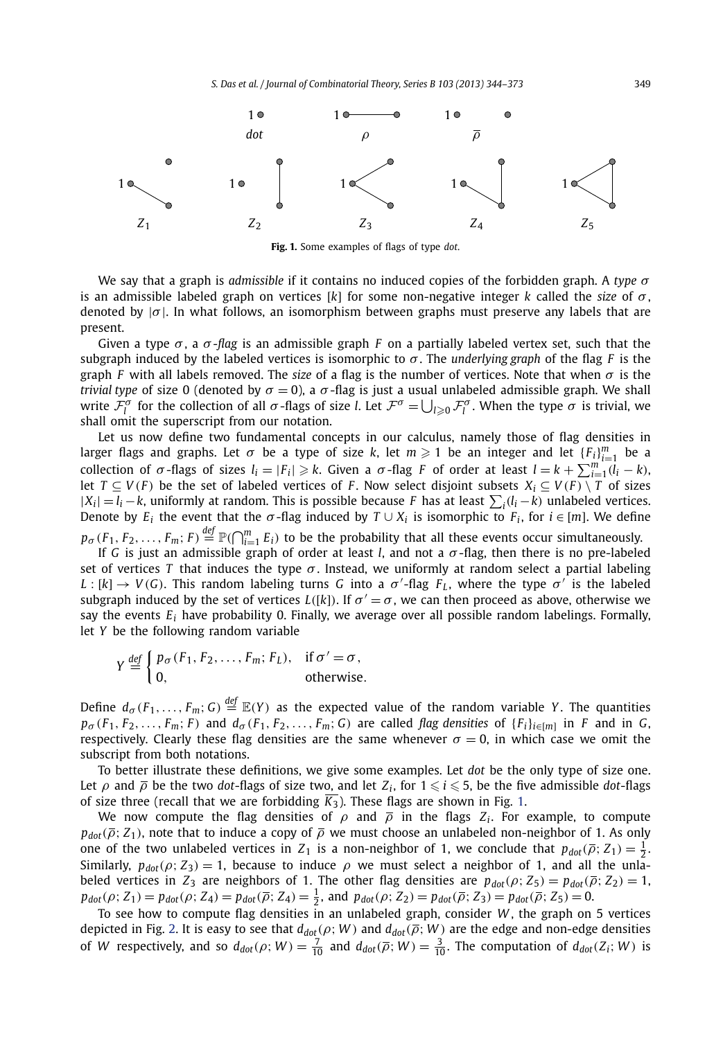<span id="page-5-0"></span>

**Fig. 1.** Some examples of flags of type *dot*.

We say that a graph is *admissible* if it contains no induced copies of the forbidden graph. A *type σ* is an admissible labeled graph on vertices [*k*] for some non-negative integer *k* called the *size* of *σ* , denoted by |*σ*|. In what follows, an isomorphism between graphs must preserve any labels that are present.

Given a type *σ* , a *σ -flag* is an admissible graph *F* on a partially labeled vertex set, such that the subgraph induced by the labeled vertices is isomorphic to *σ* . The *underlying graph* of the flag *F* is the graph *F* with all labels removed. The *size* of a flag is the number of vertices. Note that when *σ* is the *trivial type* of size 0 (denoted by  $\sigma = 0$ ), a  $\sigma$ -flag is just a usual unlabeled admissible graph. We shall write  $\mathcal{F}_l^{\sigma}$  for the collection of all  $\sigma$ -flags of size *l*. Let  $\mathcal{F}^{\sigma} = \bigcup_{l \geq 0} \mathcal{F}_l^{\sigma}$ . When the type  $\sigma$  is trivial, we shall omit the superscript from our notation.

Let us now define two fundamental concepts in our calculus, namely those of flag densities in larger flags and graphs. Let  $\sigma$  be a type of size k, let  $m \geqslant 1$  be an integer and let  $\{F_i\}_{i=1}^m$  be a collection of *σ*-flags of sizes  $l_i = |F_i| ≥ k$ . Given a *σ*-flag *F* of order at least  $l = k + \sum_{i=1}^{m} (l_i - k)$ , let *T* ⊆ *V*(*F*) be the set of labeled vertices of *F*. Now select disjoint subsets  $X_i$  ⊆ *V*(*F*)  $\setminus$  *T* of sizes  $|X_i| = l_i - k$ , uniformly at random. This is possible because *F* has at least  $\sum_i (l_i - k)$  unlabeled vertices. Denote by  $E_i$  the event that the  $\sigma$ -flag induced by  $T \cup X_i$  is isomorphic to  $F_i$ , for  $i \in [m]$ . We define

 $p_{\sigma}(F_1,F_2,\ldots,F_m;F) \stackrel{\text{def}}{=} \mathbb{P}(\bigcap_{i=1}^m E_i)$  to be the probability that all these events occur simultaneously.

If *G* is just an admissible graph of order at least *l*, and not a *σ* -flag, then there is no pre-labeled set of vertices *T* that induces the type  $\sigma$ . Instead, we uniformly at random select a partial labeling  $L : [k] \to V(G)$ . This random labeling turns *G* into a  $\sigma'$ -flag  $F_L$ , where the type  $\sigma'$  is the labeled subgraph induced by the set of vertices  $L([k])$ . If  $\sigma' = \sigma$ , we can then proceed as above, otherwise we say the events  $E_i$  have probability 0. Finally, we average over all possible random labelings. Formally, let *Y* be the following random variable

$$
Y \stackrel{\text{def}}{=} \begin{cases} p_{\sigma}(F_1, F_2, \dots, F_m; F_L), & \text{if } \sigma' = \sigma, \\ 0, & \text{otherwise.} \end{cases}
$$

Define  $d_{\sigma}(F_1,..., F_m; G) \stackrel{def}{=} \mathbb{E}(Y)$  as the expected value of the random variable *Y*. The quantities  $p_{\sigma}(F_1, F_2, \ldots, F_m; F)$  and  $d_{\sigma}(F_1, F_2, \ldots, F_m; G)$  are called flag densities of  $\{F_i\}_{i \in [m]}$  in F and in G, respectively. Clearly these flag densities are the same whenever  $\sigma = 0$ , in which case we omit the subscript from both notations.

To better illustrate these definitions, we give some examples. Let *dot* be the only type of size one. Let  $\rho$  and  $\overline{\rho}$  be the two *dot*-flags of size two, and let  $Z_i$ , for  $1 \leq i \leq 5$ , be the five admissible *dot*-flags of size three (recall that we are forbidding  $\overline{K_3}$ ). These flags are shown in Fig. 1.

We now compute the flag densities of  $\rho$  and  $\bar{\rho}$  in the flags  $Z_i$ . For example, to compute  $p_{dot}(\overline{\rho}; Z_1)$ , note that to induce a copy of  $\overline{\rho}$  we must choose an unlabeled non-neighbor of 1. As only one of the two unlabeled vertices in  $Z_1$  is a non-neighbor of 1, we conclude that  $p_{dot}(\overline{\rho}; Z_1) = \frac{1}{2}$ . Similarly,  $p_{dot}(ρ; Z_3) = 1$ , because to induce  $ρ$  we must select a neighbor of 1, and all the unlabeled vertices in  $Z_3$  are neighbors of 1. The other flag densities are  $p_{dot}(\rho; Z_5) = p_{dot}(\bar{\rho}; Z_2) = 1$ ,  $p_{dot}( \rho; Z_1) = p_{dot}( \rho; Z_4) = p_{dot}( \overline{\rho}; Z_4) = \frac{1}{2}$ , and  $p_{dot}( \rho; Z_2) = p_{dot}( \overline{\rho}; Z_3) = p_{dot}( \overline{\rho}; Z_5) = 0$ .

To see how to compute flag densities in an unlabeled graph, consider *W* , the graph on 5 vertices depicted in Fig. [2.](#page-6-0) It is easy to see that  $d_{dot}(p;W)$  and  $d_{dot}(\overline{\rho};W)$  are the edge and non-edge densities of *W* respectively, and so  $d_{dot}(\rho; W) = \frac{7}{10}$  and  $d_{dot}(\overline{\rho}; W) = \frac{3}{10}$ . The computation of  $d_{dot}(Z_i; W)$  is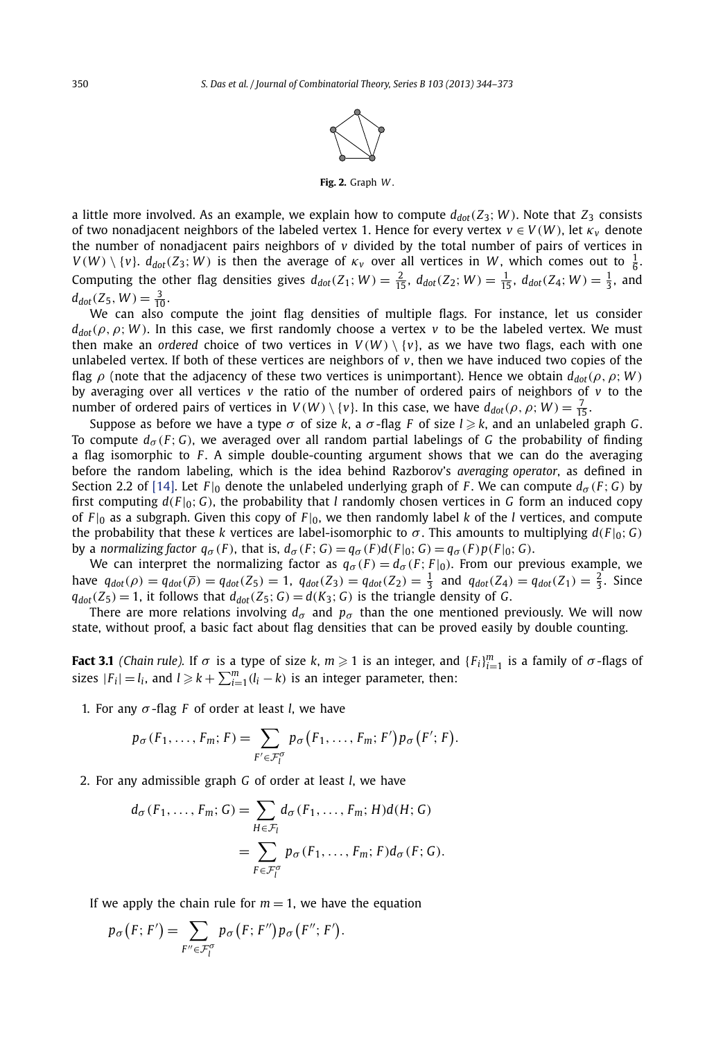

**Fig. 2.** Graph *W* .

<span id="page-6-0"></span>a little more involved. As an example, we explain how to compute  $d_{dot}(Z_3; W)$ . Note that  $Z_3$  consists of two nonadjacent neighbors of the labeled vertex 1. Hence for every vertex  $v \in V(W)$ , let  $\kappa_v$  denote the number of nonadjacent pairs neighbors of *v* divided by the total number of pairs of vertices in  $V(W) \setminus \{v\}$ .  $d_{dot}(Z_3; W)$  is then the average of  $\kappa_v$  over all vertices in *W*, which comes out to  $\frac{1}{6}$ . Computing the other flag densities gives  $d_{dot}(Z_1; W) = \frac{2}{15}$ ,  $d_{dot}(Z_2; W) = \frac{1}{15}$ ,  $d_{dot}(Z_4; W) = \frac{1}{3}$ , and  $d_{dot}(Z_5, W) = \frac{3}{10}.$ 

We can also compute the joint flag densities of multiple flags. For instance, let us consider  $d_{dot}(\rho, \rho; W)$ . In this case, we first randomly choose a vertex *v* to be the labeled vertex. We must then make an *ordered* choice of two vertices in  $V(W) \setminus \{v\}$ , as we have two flags, each with one unlabeled vertex. If both of these vertices are neighbors of *v*, then we have induced two copies of the flag  $\rho$  (note that the adjacency of these two vertices is unimportant). Hence we obtain  $d_{dot}(\rho, \rho; W)$ by averaging over all vertices *v* the ratio of the number of ordered pairs of neighbors of *v* to the number of ordered pairs of vertices in  $V(W) \setminus \{v\}$ . In this case, we have  $d_{dot}(\rho, \rho; W) = \frac{7}{15}$ .

Suppose as before we have a type  $\sigma$  of size  $k$ , a  $\sigma$ -flag  $F$  of size  $l\geqslant k$ , and an unlabeled graph  $G$ . To compute  $d_{\sigma}(F; G)$ , we averaged over all random partial labelings of *G* the probability of finding a flag isomorphic to *F* . A simple double-counting argument shows that we can do the averaging before the random labeling, which is the idea behind Razborov's *averaging operator*, as defined in Section 2.2 of [\[14\].](#page-29-0) Let  $F|_0$  denote the unlabeled underlying graph of *F*. We can compute  $d_\sigma(F; G)$  by first computing  $d(F|_0; G)$ , the probability that *l* randomly chosen vertices in *G* form an induced copy of  $F|_0$  as a subgraph. Given this copy of  $F|_0$ , we then randomly label *k* of the *l* vertices, and compute the probability that these *k* vertices are label-isomorphic to *σ*. This amounts to multiplying  $d(F|_0; G)$ by a normalizing factor  $q_{\sigma}(F)$ , that is,  $d_{\sigma}(F; G) = q_{\sigma}(F)d(F|_{0}; G) = q_{\sigma}(F)p(F|_{0}; G)$ .

We can interpret the normalizing factor as  $q_\sigma(F) = d_\sigma(F; F|_0)$ . From our previous example, we have  $q_{dot}(\rho) = q_{dot}(\overline{\rho}) = q_{dot}(Z_5) = 1$ ,  $q_{dot}(Z_3) = q_{dot}(Z_2) = \frac{1}{3}$  and  $q_{dot}(Z_4) = q_{dot}(Z_1) = \frac{2}{3}$ . Since  $q_{dot}(Z_5) = 1$ , it follows that  $d_{dot}(Z_5; G) = d(K_3; G)$  is the triangle density of *G*.

There are more relations involving  $d_{\sigma}$  and  $p_{\sigma}$  than the one mentioned previously. We will now state, without proof, a basic fact about flag densities that can be proved easily by double counting.

**Fact 3.1** *(Chain rule).* If  $\sigma$  is a type of size *k*,  $m \ge 1$  is an integer, and  $\{F_i\}_{i=1}^m$  is a family of  $\sigma$ -flags of sizes  $|F_i| = l_i$ , and  $l \geq k + \sum_{i=1}^m (l_i - k)$  is an integer parameter, then:

1. For any  $\sigma$ -flag *F* of order at least *l*, we have

$$
p_{\sigma}(F_1,\ldots,F_m;F)=\sum_{F'\in\mathcal{F}_l^{\sigma}}p_{\sigma}(F_1,\ldots,F_m;F')p_{\sigma}(F';F).
$$

2. For any admissible graph *G* of order at least *l*, we have

$$
d_{\sigma}(F_1, \ldots, F_m; G) = \sum_{H \in \mathcal{F}_l} d_{\sigma}(F_1, \ldots, F_m; H) d(H; G)
$$
  
= 
$$
\sum_{F \in \mathcal{F}_l^{\sigma}} p_{\sigma}(F_1, \ldots, F_m; F) d_{\sigma}(F; G).
$$

If we apply the chain rule for  $m = 1$ , we have the equation

$$
p_{\sigma}(F; F') = \sum_{F'' \in \mathcal{F}^{\sigma}_l} p_{\sigma}(F; F'') p_{\sigma}(F''; F').
$$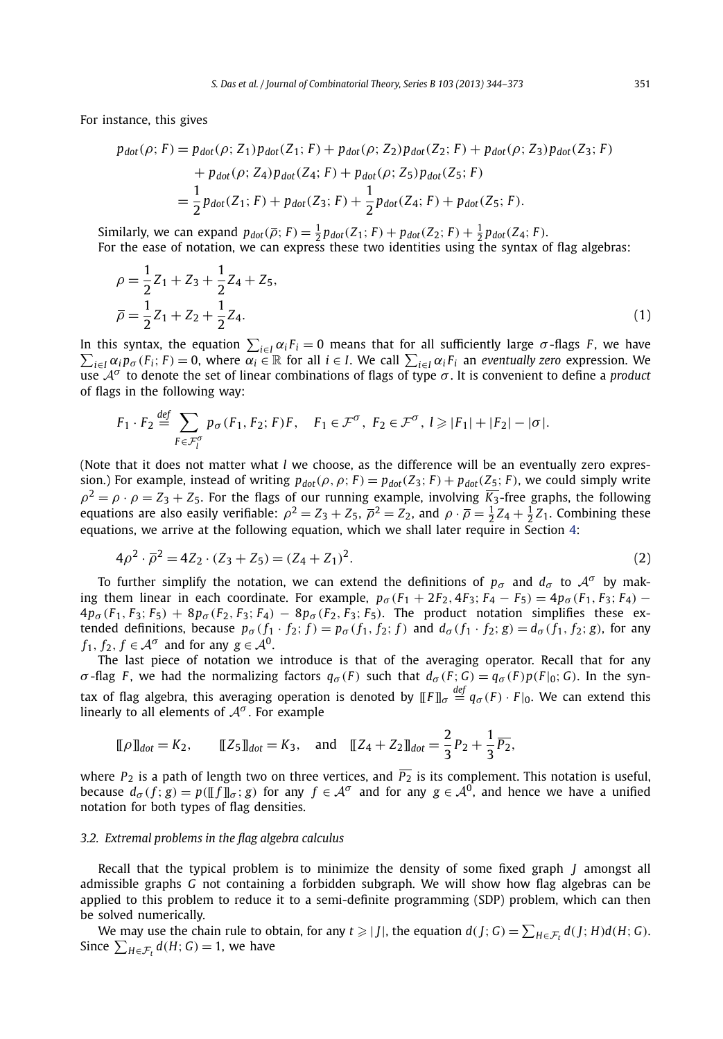<span id="page-7-0"></span>For instance, this gives

$$
p_{dot}(\rho; F) = p_{dot}(\rho; Z_1) p_{dot}(Z_1; F) + p_{dot}(\rho; Z_2) p_{dot}(Z_2; F) + p_{dot}(\rho; Z_3) p_{dot}(Z_3; F) + p_{dot}(\rho; Z_4) p_{dot}(Z_4; F) + p_{dot}(\rho; Z_5) p_{dot}(Z_5; F) = \frac{1}{2} p_{dot}(Z_1; F) + p_{dot}(Z_3; F) + \frac{1}{2} p_{dot}(Z_4; F) + p_{dot}(Z_5; F).
$$

Similarly, we can expand  $p_{dot}(\overline{\rho}; F) = \frac{1}{2}p_{dot}(Z_1; F) + p_{dot}(Z_2; F) + \frac{1}{2}p_{dot}(Z_4; F)$ . For the ease of notation, we can express these two identities using the syntax of flag algebras:

$$
\rho = \frac{1}{2}Z_1 + Z_3 + \frac{1}{2}Z_4 + Z_5,
$$
  
\n
$$
\overline{\rho} = \frac{1}{2}Z_1 + Z_2 + \frac{1}{2}Z_4.
$$
\n(1)

In this syntax, the equation  $\sum_{i\in I}\alpha_iF_i=0$  means that for all sufficiently large  $\sigma$ -flags *F*, we have  $\sum_{i\in I}\alpha_i p_{\sigma}(F_i;F)=0$ , where  $\alpha_i\in\mathbb{R}$  for all  $i\in I$ . We call  $\sum_{i\in I}\alpha_i F_i$  an eventually zero expression. We use <sup>A</sup>*<sup>σ</sup>* to denote the set of linear combinations of flags of type *<sup>σ</sup>* . It is convenient to define a *product* of flags in the following way:

$$
F_1 \cdot F_2 \stackrel{\text{def}}{=} \sum_{F \in \mathcal{F}_1^{\sigma}} p_{\sigma}(F_1, F_2; F) F, \quad F_1 \in \mathcal{F}^{\sigma}, \ F_2 \in \mathcal{F}^{\sigma}, \ l \geqslant |F_1| + |F_2| - |\sigma|.
$$

(Note that it does not matter what *l* we choose, as the difference will be an eventually zero expression.) For example, instead of writing  $p_{dot}(\rho, \rho; F) = p_{dot}(Z_3; F) + p_{dot}(Z_5; F)$ , we could simply write  $\rho^2 = \rho \cdot \rho = Z_3 + Z_5$ . For the flags of our running example, involving  $\overline{K_3}$ -free graphs, the following equations are also easily verifiable:  $\rho^2 = Z_3 + Z_5$ ,  $\overline{\rho}^2 = Z_2$ , and  $\rho \cdot \overline{\rho} = \frac{1}{2}Z_4 + \frac{1}{2}Z_1$ . Combining these equations, we arrive at the following equation, which we shall later require in Section [4:](#page-10-0)

$$
4\rho^2 \cdot \overline{\rho}^2 = 4Z_2 \cdot (Z_3 + Z_5) = (Z_4 + Z_1)^2. \tag{2}
$$

To further simplify the notation, we can extend the definitions of  $p_\sigma$  and  $d_\sigma$  to  $\mathcal{A}^\sigma$  by making them linear in each coordinate. For example,  $p_{\sigma}(F_1 + 2F_2, 4F_3; F_4 - F_5) = 4p_{\sigma}(F_1, F_3; F_4)$  $4p_{\sigma}(F_1, F_3; F_5) + 8p_{\sigma}(F_2, F_3; F_4) - 8p_{\sigma}(F_2, F_3; F_5)$ . The product notation simplifies these extended definitions, because  $p_{\sigma}(f_1 \cdot f_2; f) = p_{\sigma}(f_1, f_2; f)$  and  $d_{\sigma}(f_1 \cdot f_2; g) = d_{\sigma}(f_1, f_2; g)$ , for any *f*<sub>1</sub>*, f*<sub>2</sub>*, f* ∈  $A^{\sigma}$  and for any *g* ∈  $A^0$ .

The last piece of notation we introduce is that of the averaging operator. Recall that for any  $\sigma$ -flag F, we had the normalizing factors  $q_{\sigma}(F)$  such that  $d_{\sigma}(F; G) = q_{\sigma}(F)p(F|_{0}; G)$ . In the syntax of flag algebra, this averaging operation is denoted by  $[\![F]\!]_{\sigma} \stackrel{def}{=} q_{\sigma}(F) \cdot F|_0.$  We can extend this linearly to all elements of  $A^{\sigma}$ . For example

$$
[\![\rho]\!]_{dot} = K_2
$$
,  $[\![Z_5]\!]_{dot} = K_3$ , and  $[\![Z_4 + Z_2]\!]_{dot} = \frac{2}{3}P_2 + \frac{1}{3}\overline{P_2}$ ,

where  $P_2$  is a path of length two on three vertices, and  $\overline{P_2}$  is its complement. This notation is useful, because  $d_{\sigma}(f; g) = p(\llbracket f \rrbracket_{\sigma}; g)$  for any  $f \in A^{\sigma}$  and for any  $g \in A^0$ , and hence we have a unified notation for both types of flag densities.

#### *3.2. Extremal problems in the flag algebra calculus*

Recall that the typical problem is to minimize the density of some fixed graph *J* amongst all admissible graphs *G* not containing a forbidden subgraph. We will show how flag algebras can be applied to this problem to reduce it to a semi-definite programming (SDP) problem, which can then be solved numerically.

We may use the chain rule to obtain, for any  $t \ge |J|$ , the equation  $d(J; G) = \sum_{H \in \mathcal{F}_t} d(J; H) d(H; G)$ . Since  $\sum_{H \in \mathcal{F}_t} d(H; G) = 1$ , we have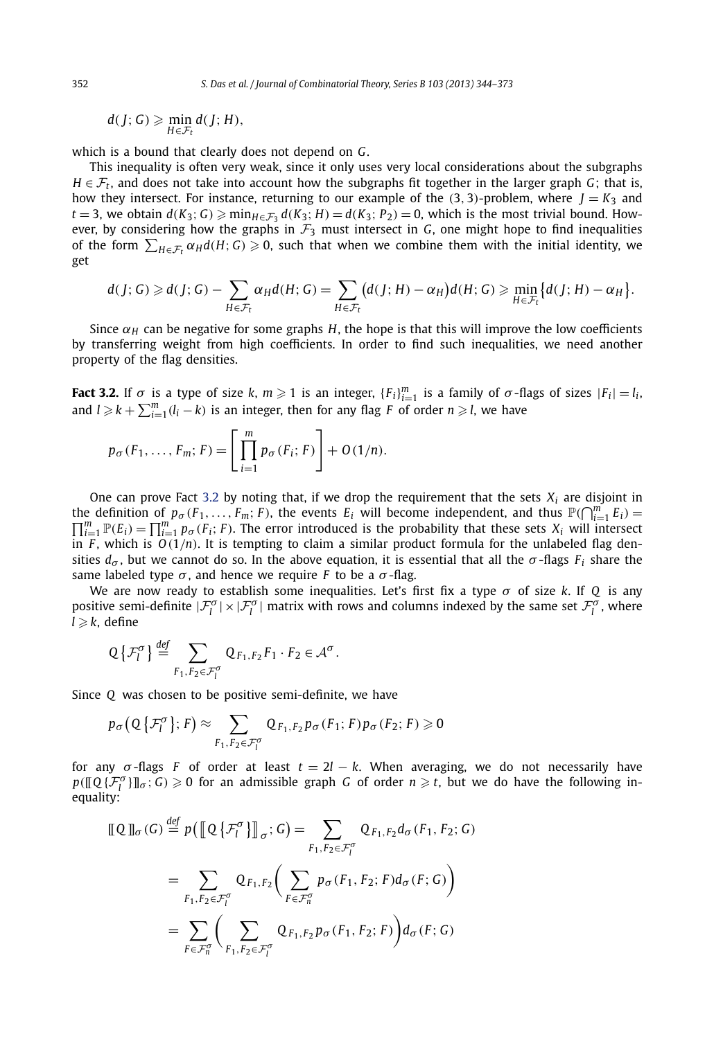$$
d(J; G) \geqslant \min_{H \in \mathcal{F}_t} d(J; H),
$$

which is a bound that clearly does not depend on *G*.

This inequality is often very weak, since it only uses very local considerations about the subgraphs  $H \in \mathcal{F}_t$ , and does not take into account how the subgraphs fit together in the larger graph *G*; that is, how they intersect. For instance, returning to our example of the  $(3, 3)$ -problem, where  $J = K_3$  and *t* = 3, we obtain *d*(*K*<sub>3</sub>; *G*) ≥ min<sub>*H*∈*F*<sub>3</sub> *d*(*K*<sub>3</sub>; *H*) = *d*(*K*<sub>3</sub>; *P*<sub>2</sub>) = 0, which is the most trivial bound. How-</sub> ever, by considering how the graphs in  $\mathcal{F}_3$  must intersect in *G*, one might hope to find inequalities of the form  $\sum_{H \in \mathcal{F}_t} \alpha_H d(H; G) \geqslant 0$ , such that when we combine them with the initial identity, we get

$$
d(J; G) \geq d(J; G) - \sum_{H \in \mathcal{F}_t} \alpha_H d(H; G) = \sum_{H \in \mathcal{F}_t} (d(J; H) - \alpha_H) d(H; G) \geqslant \min_{H \in \mathcal{F}_t} \{d(J; H) - \alpha_H\}.
$$

Since  $\alpha$ <sub>H</sub> can be negative for some graphs *H*, the hope is that this will improve the low coefficients by transferring weight from high coefficients. In order to find such inequalities, we need another property of the flag densities.

**Fact 3.2.** If  $\sigma$  is a type of size  $k, m \ge 1$  is an integer,  $\{F_i\}_{i=1}^m$  is a family of  $\sigma$ -flags of sizes  $|F_i| = l_i$ , and  $l \geqslant k + \sum_{i=1}^{m} (l_i - k)$  is an integer, then for any flag *F* of order  $n \geqslant l$ , we have

$$
p_{\sigma}(F_1,..., F_m; F) = \left[ \prod_{i=1}^m p_{\sigma}(F_i; F) \right] + O(1/n).
$$

One can prove Fact 3.2 by noting that, if we drop the requirement that the sets  $X_i$  are disjoint in the definition of  $p_{\sigma}(F_1, \ldots, F_m; F)$ , the events  $E_i$  will become independent, and thus  $\mathbb{P}(\bigcap_{i=1}^m E_i) = \prod_{i=1}^m E_i$   $\bigcap_{i=1}^m E_i$   $\bigcap_{i=1}^m E_i$   $\bigcap_{i=1}^m E_i$   $\bigcap_{i=1}^m E_i$   $\bigcap_{i=1}^m E_i$   $\bigcap_{i=1}^m E_i$   $\bigcap_{i=$  $\prod_{i=1}^{m} \mathbb{P}(E_i) = \prod_{i=1}^{m} p_{\sigma}(F_i; F)$ . The error introduced is the probability that these sets  $X_i$  will intersect  $\prod_{i=1}^{m} \mathbb{P}(E_i)$ in  $F$ , which is  $O(1/n)$ . It is tempting to claim a similar product formula for the unlabeled flag densities  $d_{\sigma}$ , but we cannot do so. In the above equation, it is essential that all the  $\sigma$ -flags  $F_i$  share the same labeled type  $\sigma$ , and hence we require *F* to be a  $\sigma$ -flag.

We are now ready to establish some inequalities. Let's first fix a type *σ* of size *k*. If *Q* is any positive semi-definite  $|\mathcal{F}_l^{\sigma}| \times |\mathcal{F}_l^{\sigma}|$  matrix with rows and columns indexed by the same set  $\mathcal{F}_l^{\sigma}$ , where *l ≥ k*, define

$$
Q\left\{\mathcal{F}_l^{\sigma}\right\} \stackrel{\text{def}}{=} \sum_{F_1, F_2 \in \mathcal{F}_l^{\sigma}} Q_{F_1, F_2} F_1 \cdot F_2 \in \mathcal{A}^{\sigma}.
$$

Since *Q* was chosen to be positive semi-definite, we have

$$
p_{\sigma}\left(Q\left\{\mathcal{F}_{l}^{\sigma}\right\};F\right)\approx\sum_{F_{1},F_{2}\in\mathcal{F}_{l}^{\sigma}}Q_{F_{1},F_{2}}p_{\sigma}(F_{1};F)p_{\sigma}(F_{2};F)\geq 0
$$

for any  $\sigma$ -flags *F* of order at least  $t = 2l - k$ . When averaging, we do not necessarily have  $p(\mathbb{I} \mathbb{Q}\{\mathcal{F}_{l}^{\sigma}\}\mathbb{I} \mid \sigma, G) \geq 0$  for an admissible graph *G* of order  $n \geq t$ , but we do have the following inequality:

$$
\begin{split} [\![Q]\!]_{\sigma}(G) \stackrel{\text{def}}{=} p \big( [\![Q\{\mathcal{F}_l^{\sigma}\}]\!]_{\sigma}; G \big) &= \sum_{F_1, F_2 \in \mathcal{F}_l^{\sigma}} Q_{F_1, F_2} d_{\sigma}(F_1, F_2; G) \\ &= \sum_{F_1, F_2 \in \mathcal{F}_l^{\sigma}} Q_{F_1, F_2} \bigg( \sum_{F \in \mathcal{F}_n^{\sigma}} p_{\sigma}(F_1, F_2; F) d_{\sigma}(F; G) \bigg) \\ &= \sum_{F \in \mathcal{F}_n^{\sigma}} \bigg( \sum_{F_1, F_2 \in \mathcal{F}_l^{\sigma}} Q_{F_1, F_2} p_{\sigma}(F_1, F_2; F) \bigg) d_{\sigma}(F; G) \end{split}
$$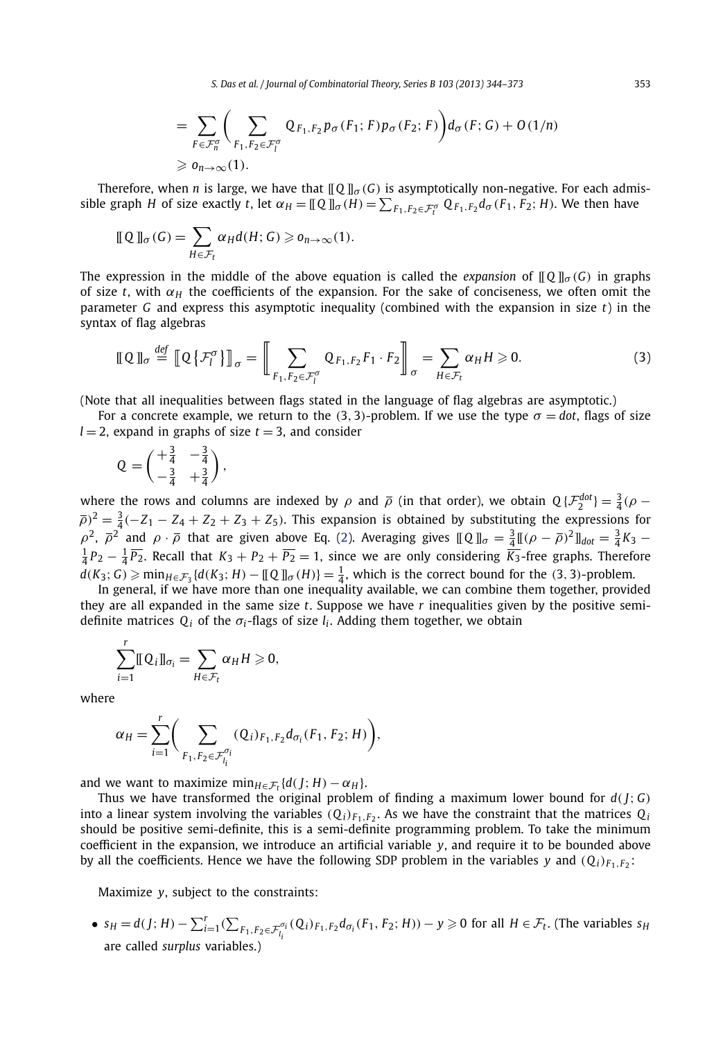*S. Das et al. / Journal of Combinatorial Theory, Series B 103 (2013) 344–373* 353

$$
= \sum_{F \in \mathcal{F}_n^{\sigma}} \Biggl( \sum_{F_1, F_2 \in \mathcal{F}_l^{\sigma}} Q_{F_1, F_2} p_{\sigma}(F_1; F) p_{\sigma}(F_2; F) \Biggr) d_{\sigma}(F; G) + O(1/n)
$$
  
\$\geqslant o\_{n \to \infty}(1).

Therefore, when *n* is large, we have that  $\llbracket Q \rrbracket_{\sigma}(G)$  is asymptotically non-negative. For each admissible graph H of size exactly t, let  $\alpha_H = [\![\mathbb{Q}]\!]_{\sigma}(H) = \sum_{F_1, F_2 \in \mathcal{F}_t^{\sigma}} \mathbb{Q}_{F_1, F_2} d_{\sigma}(F_1, F_2; H)$ . We then have

$$
[\![\mathbb{Q}]\!]_{\sigma}(G) = \sum_{H \in \mathcal{F}_t} \alpha_H d(H; G) \geqslant o_{n \to \infty}(1).
$$

The expression in the middle of the above equation is called the *expansion* of  $\llbracket Q \rrbracket_{\sigma}(G)$  in graphs of size *t*, with  $\alpha_H$  the coefficients of the expansion. For the sake of conciseness, we often omit the parameter *G* and express this asymptotic inequality (combined with the expansion in size *t*) in the syntax of flag algebras

$$
\llbracket Q \rrbracket_{\sigma} \stackrel{\text{def}}{=} \llbracket Q \{ \mathcal{F}_{l}^{\sigma} \} \rrbracket_{\sigma} = \llbracket \sum_{F_{1}, F_{2} \in \mathcal{F}_{l}^{\sigma}} Q_{F_{1}, F_{2}} F_{1} \cdot F_{2} \rrbracket_{\sigma} = \sum_{H \in \mathcal{F}_{t}} \alpha_{H} H \geqslant 0. \tag{3}
$$

(Note that all inequalities between flags stated in the language of flag algebras are asymptotic.)

For a concrete example, we return to the  $(3,3)$ -problem. If we use the type  $\sigma = dot$ , flags of size  $l = 2$ , expand in graphs of size  $t = 3$ , and consider

$$
Q = \begin{pmatrix} +\frac{3}{4} & -\frac{3}{4} \\ -\frac{3}{4} & +\frac{3}{4} \end{pmatrix},
$$

where the rows and columns are indexed by  $\rho$  and  $\overline{\rho}$  (in that order), we obtain  $Q\{\mathcal{F}_2^{\text{dot}}\} = \frac{3}{4}(\rho \overline{\rho}$ )<sup>2</sup> =  $\frac{3}{4}$ (−*Z*<sub>1</sub> − *Z*<sub>4</sub> + *Z*<sub>2</sub> + *Z*<sub>3</sub> + *Z*<sub>5</sub>). This expansion is obtained by substituting the expressions for *ρ*<sup>2</sup>,  $\bar{\rho}^2$  and *ρ* ·  $\bar{\rho}$  that are given above Eq. [\(2\)](#page-7-0). Averaging gives  $[Q]_{\sigma} = \frac{3}{4}[(\rho - \bar{\rho})^2]_{dot} = \frac{3}{4}K_3 - \frac{1}{4}E_2$ .  $\bar{\rho}$  and *R* = *R* = 2 since we are only considering  $\bar{k}$ -free graphs. Theref  $\frac{1}{4}P_2-\frac{1}{4}\overline{P_2}$ . Recall that  $K_3+P_2+\overline{P_2}=1$ , since we are only considering  $\overline{K_3}$ -free graphs. Therefore  $d(K_3; G) \geqslant \min_{H \in \mathcal{F}_3} \{d(K_3; H) - [Q]]_{\sigma}(H)\} = \frac{1}{4}$ , which is the correct bound for the (3, 3)-problem.

In general, if we have more than one inequality available, we can combine them together, provided they are all expanded in the same size *t*. Suppose we have *r* inequalities given by the positive semidefinite matrices  $Q_i$  of the  $\sigma_i$ -flags of size  $l_i$ . Adding them together, we obtain

$$
\sum_{i=1}^r \llbracket Q_i \rrbracket_{\sigma_i} = \sum_{H \in \mathcal{F}_t} \alpha_H H \geqslant 0,
$$

where

$$
\alpha_H = \sum_{i=1}^r \Biggl( \sum_{F_1, F_2 \in \mathcal{F}_{l_i}^{\sigma_i}} (Q_i)_{F_1, F_2} d_{\sigma_i}(F_1, F_2; H) \Biggr),
$$

and we want to maximize min $_{H \in \mathcal{F}_t}$ { $d(J; H) - \alpha_H$ }.

Thus we have transformed the original problem of finding a maximum lower bound for  $d(J; G)$ into a linear system involving the variables  $(Q_i)_{F_1,F_2}$ . As we have the constraint that the matrices  $Q_i$ should be positive semi-definite, this is a semi-definite programming problem. To take the minimum coefficient in the expansion, we introduce an artificial variable *y*, and require it to be bounded above by all the coefficients. Hence we have the following SDP problem in the variables *y* and  $(Q_i)_{F_1,F_2}$ :

Maximize *y*, subject to the constraints:

•  $s_H = d(J; H) - \sum_{i=1}^r (\sum_{F_1, F_2 \in \mathcal{F}_{l_i}^{\sigma_i}} (Q_i)_{F_1, F_2} d_{\sigma_i}(F_1, F_2; H)) - y \ge 0$  for all  $H \in \mathcal{F}_t$ . (The variables  $s_H$ are called *surplus* variables.)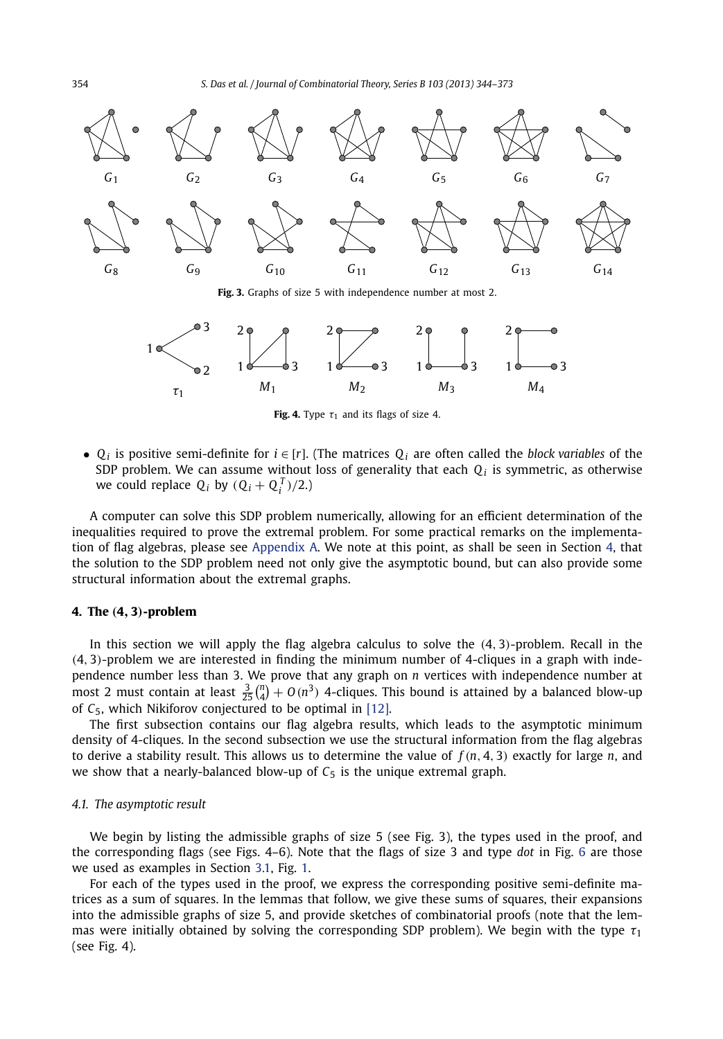<span id="page-10-0"></span>

**Fig. 3.** Graphs of size 5 with independence number at most 2.



**Fig. 4.** Type  $\tau_1$  and its flags of size 4.

•  $Q_i$  is positive semi-definite for  $i \in [r]$ . (The matrices  $Q_i$  are often called the *block variables* of the SDP problem. We can assume without loss of generality that each *Qi* is symmetric, as otherwise we could replace  $Q_i$  by  $(Q_i + Q_i^T)/2$ .)

A computer can solve this SDP problem numerically, allowing for an efficient determination of the inequalities required to prove the extremal problem. For some practical remarks on the implementation of flag algebras, please see [Appendix A.](#page-21-0) We note at this point, as shall be seen in Section 4, that the solution to the SDP problem need not only give the asymptotic bound, but can also provide some structural information about the extremal graphs.

#### **4. The** *(***4***,* **3***)***-problem**

In this section we will apply the flag algebra calculus to solve the *(*4*,* 3*)*-problem. Recall in the *(*4*,* 3*)*-problem we are interested in finding the minimum number of 4-cliques in a graph with independence number less than 3. We prove that any graph on *n* vertices with independence number at most 2 must contain at least  $\frac{3}{25} {n \choose 4} + O(n^3)$  4-cliques. This bound is attained by a balanced blow-up of *C*5, which Nikiforov conjectured to be optimal in [\[12\].](#page-29-0)

The first subsection contains our flag algebra results, which leads to the asymptotic minimum density of 4-cliques. In the second subsection we use the structural information from the flag algebras to derive a stability result. This allows us to determine the value of  $f(n, 4, 3)$  exactly for large *n*, and we show that a nearly-balanced blow-up of  $C_5$  is the unique extremal graph.

#### *4.1. The asymptotic result*

We begin by listing the admissible graphs of size 5 (see Fig. 3), the types used in the proof, and the corresponding flags (see Figs. 4–6). Note that the flags of size 3 and type *dot* in Fig. [6](#page-12-0) are those we used as examples in Section [3.1,](#page-4-0) Fig. [1.](#page-5-0)

For each of the types used in the proof, we express the corresponding positive semi-definite matrices as a sum of squares. In the lemmas that follow, we give these sums of squares, their expansions into the admissible graphs of size 5, and provide sketches of combinatorial proofs (note that the lemmas were initially obtained by solving the corresponding SDP problem). We begin with the type *τ*<sup>1</sup> (see Fig. 4).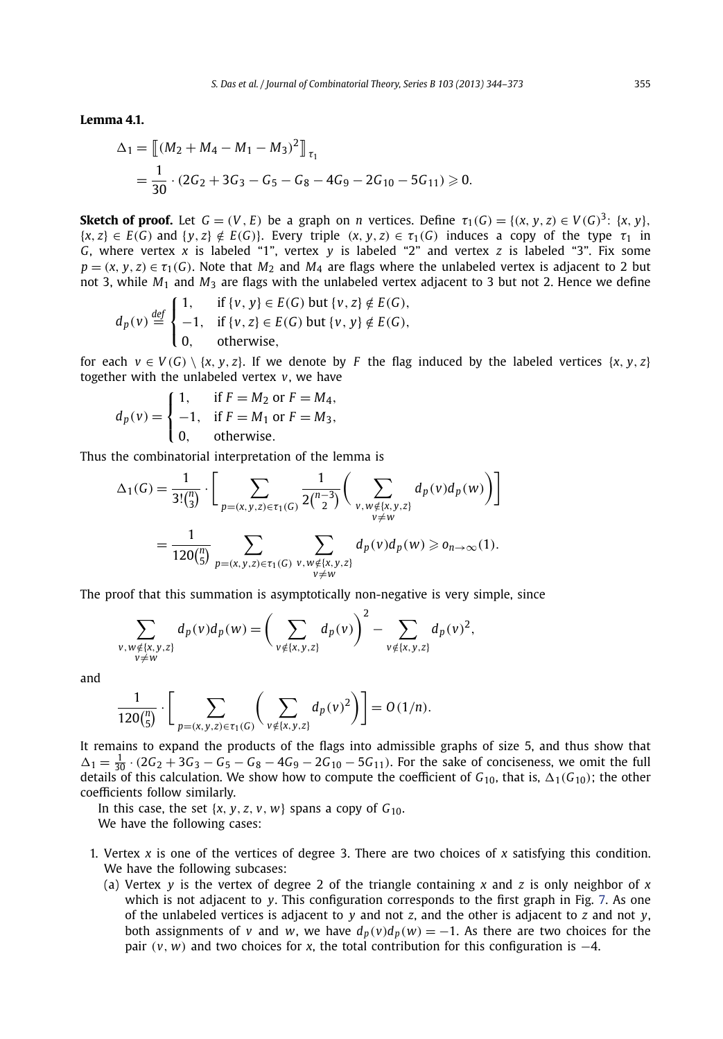<span id="page-11-0"></span>**Lemma 4.1.**

$$
\Delta_1 = \left[ (M_2 + M_4 - M_1 - M_3)^2 \right]_{\tau_1}
$$
  
=  $\frac{1}{30} \cdot (2G_2 + 3G_3 - G_5 - G_8 - 4G_9 - 2G_{10} - 5G_{11}) \ge 0.$ 

**Sketch of proof.** Let  $G = (V, E)$  be a graph on *n* vertices. Define  $\tau_1(G) = \{(x, y, z) \in V(G)^3 : \{x, y\},\}$  $\{x, z\} \in E(G)$  and  $\{y, z\} \notin E(G)\}$ . Every triple  $(x, y, z) \in \tau_1(G)$  induces a copy of the type  $\tau_1$  in *G*, where vertex *x* is labeled "1", vertex *y* is labeled "2" and vertex *z* is labeled "3". Fix some  $p = (x, y, z) \in \tau_1(G)$ . Note that  $M_2$  and  $M_4$  are flags where the unlabeled vertex is adjacent to 2 but not 3, while  $M_1$  and  $M_3$  are flags with the unlabeled vertex adjacent to 3 but not 2. Hence we define

$$
d_p(v) \stackrel{\text{def}}{=} \begin{cases} 1, & \text{if } \{v, y\} \in E(G) \text{ but } \{v, z\} \notin E(G), \\ -1, & \text{if } \{v, z\} \in E(G) \text{ but } \{v, y\} \notin E(G), \\ 0, & \text{otherwise,} \end{cases}
$$

for each  $v \in V(G) \setminus \{x, y, z\}$ . If we denote by *F* the flag induced by the labeled vertices  $\{x, y, z\}$ together with the unlabeled vertex *v*, we have

$$
d_p(v) = \begin{cases} 1, & \text{if } F = M_2 \text{ or } F = M_4, \\ -1, & \text{if } F = M_1 \text{ or } F = M_3, \\ 0, & \text{otherwise.} \end{cases}
$$

Thus the combinatorial interpretation of the lemma is

$$
\Delta_1(G) = \frac{1}{3!(\binom{n}{3})} \cdot \left[ \sum_{p=(x,y,z)\in\tau_1(G)} \frac{1}{2\binom{n-3}{2}} \left( \sum_{\substack{v,w\notin\{x,y,z\} \\ v\neq w}} d_p(v) d_p(w) \right) \right]
$$
  
= 
$$
\frac{1}{120\binom{n}{5}} \sum_{p=(x,y,z)\in\tau_1(G)} \sum_{\substack{v,w\notin\{x,y,z\} \\ v\neq w}} d_p(v) d_p(w) \geq o_{n\to\infty}(1).
$$

The proof that this summation is asymptotically non-negative is very simple, since

$$
\sum_{\substack{v,w \notin \{x,y,z\} \\ v \neq w}} d_p(v) d_p(w) = \left(\sum_{v \notin \{x,y,z\}} d_p(v)\right)^2 - \sum_{v \notin \{x,y,z\}} d_p(v)^2,
$$

and

$$
\frac{1}{120 {n \choose 5}} \cdot \left[ \sum_{p=(x,y,z)\in \tau_1(G)} \left( \sum_{v \notin \{x,y,z\}} d_p(v)^2 \right) \right] = O(1/n).
$$

It remains to expand the products of the flags into admissible graphs of size 5, and thus show that  $\Delta_1 = \frac{1}{30} \cdot (2G_2 + 3G_3 - G_5 - G_8 - 4G_9 - 2G_{10} - 5G_{11})$ . For the sake of conciseness, we omit the full details of this calculation. We show how to compute the coefficient of  $G_{10}$ , that is,  $\Delta_1(G_{10})$ ; the other coefficients follow similarly.

In this case, the set  $\{x, y, z, v, w\}$  spans a copy of  $G_{10}$ . We have the following cases:

- 1. Vertex *x* is one of the vertices of degree 3. There are two choices of *x* satisfying this condition. We have the following subcases:
	- (a) Vertex *y* is the vertex of degree 2 of the triangle containing *x* and *z* is only neighbor of *x* which is not adjacent to *y*. This configuration corresponds to the first graph in Fig. [7.](#page-12-0) As one of the unlabeled vertices is adjacent to *y* and not *z*, and the other is adjacent to *z* and not *y*, both assignments of *v* and *w*, we have  $d_p(v)d_p(w) = -1$ . As there are two choices for the pair  $(v, w)$  and two choices for *x*, the total contribution for this configuration is  $-4$ .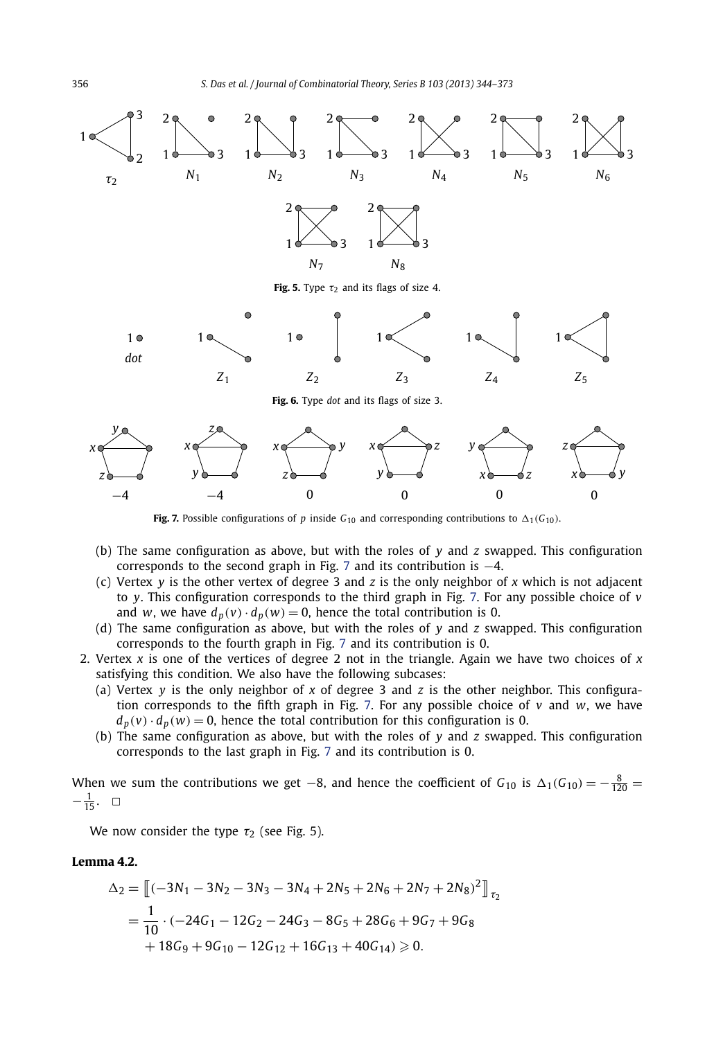<span id="page-12-0"></span>

**Fig. 7.** Possible configurations of *p* inside  $G_{10}$  and corresponding contributions to  $\Delta_1(G_{10})$ .

- (b) The same configuration as above, but with the roles of *y* and *z* swapped. This configuration corresponds to the second graph in Fig. 7 and its contribution is  $-4$ .
- (c) Vertex *y* is the other vertex of degree 3 and *z* is the only neighbor of *x* which is not adjacent to *y*. This configuration corresponds to the third graph in Fig. 7. For any possible choice of *v* and *w*, we have  $d_p(v) \cdot d_p(w) = 0$ , hence the total contribution is 0.
- (d) The same configuration as above, but with the roles of *y* and *z* swapped. This configuration corresponds to the fourth graph in Fig. 7 and its contribution is 0.
- 2. Vertex *x* is one of the vertices of degree 2 not in the triangle. Again we have two choices of *x* satisfying this condition. We also have the following subcases:
	- (a) Vertex *y* is the only neighbor of *x* of degree 3 and *z* is the other neighbor. This configuration corresponds to the fifth graph in Fig. 7. For any possible choice of  $v$  and  $w$ , we have  $d_p(v) \cdot d_p(w) = 0$ , hence the total contribution for this configuration is 0.
	- (b) The same configuration as above, but with the roles of *y* and *z* swapped. This configuration corresponds to the last graph in Fig. 7 and its contribution is 0.

When we sum the contributions we get  $-8$ , and hence the coefficient of  $G_{10}$  is  $\Delta_1(G_{10}) = -\frac{8}{120} =$  $-\frac{1}{15}$ .  $\Box$ 

We now consider the type  $\tau_2$  (see Fig. 5).

#### **Lemma 4.2.**

$$
\Delta_2 = \left[ (-3N_1 - 3N_2 - 3N_3 - 3N_4 + 2N_5 + 2N_6 + 2N_7 + 2N_8)^2 \right]_{\tau_2}
$$
  
=  $\frac{1}{10} \cdot (-24G_1 - 12G_2 - 24G_3 - 8G_5 + 28G_6 + 9G_7 + 9G_8 + 18G_9 + 9G_{10} - 12G_{12} + 16G_{13} + 40G_{14}) \ge 0.$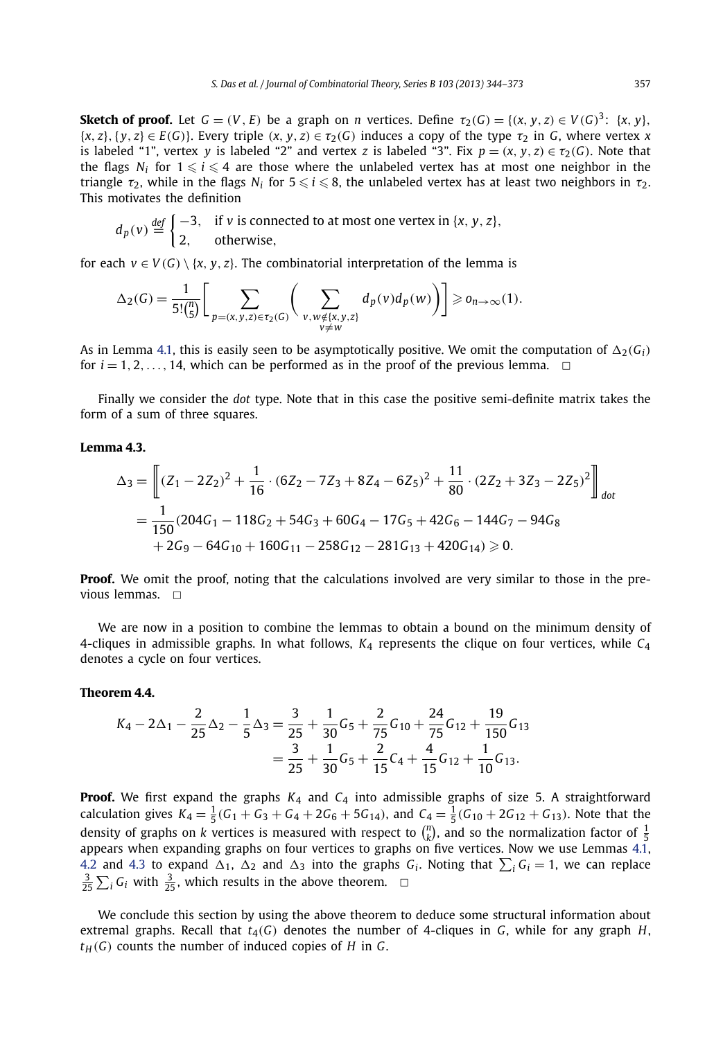<span id="page-13-0"></span>**Sketch of proof.** Let  $G = (V, E)$  be a graph on *n* vertices. Define  $\tau_2(G) = \{(x, y, z) \in V(G)^3\}$ :  $\{x, y\}$ .  $\{x, z\}, \{y, z\} \in E(G)\}$ . Every triple  $(x, y, z) \in \tau_2(G)$  induces a copy of the type  $\tau_2$  in G, where vertex x is labeled "1", vertex *y* is labeled "2" and vertex *z* is labeled "3". Fix  $p = (x, y, z) \in \tau_2(G)$ . Note that the flags  $N_i$  for  $1 \le i \le 4$  are those where the unlabeled vertex has at most one neighbor in the triangle  $\tau_2$ , while in the flags  $N_i$  for  $5 \leq i \leq 8$ , the unlabeled vertex has at least two neighbors in  $\tau_2$ . This motivates the definition

$$
d_p(v) \stackrel{\text{def}}{=} \begin{cases} -3, & \text{if } v \text{ is connected to at most one vertex in } \{x, y, z\}, \\ 2, & \text{otherwise,} \end{cases}
$$

for each  $v \in V(G) \setminus \{x, y, z\}$ . The combinatorial interpretation of the lemma is

$$
\Delta_2(G) = \frac{1}{5! {n \choose 5}} \Bigg[ \sum_{p=(x,y,z)\in \tau_2(G)} \Bigg( \sum_{\substack{v,w \notin \{x,y,z\} \\ v \neq w}} d_p(v) d_p(w) \Bigg) \Bigg] \geq o_{n\to\infty}(1).
$$

As in Lemma [4.1,](#page-11-0) this is easily seen to be asymptotically positive. We omit the computation of  $\Delta_2(G_i)$ for  $i = 1, 2, \ldots, 14$ , which can be performed as in the proof of the previous lemma.  $\Box$ 

Finally we consider the *dot* type. Note that in this case the positive semi-definite matrix takes the form of a sum of three squares.

#### **Lemma 4.3.**

$$
\Delta_3 = \left[ (Z_1 - 2Z_2)^2 + \frac{1}{16} \cdot (6Z_2 - 7Z_3 + 8Z_4 - 6Z_5)^2 + \frac{11}{80} \cdot (2Z_2 + 3Z_3 - 2Z_5)^2 \right]_{dot}
$$
  
= 
$$
\frac{1}{150} (204G_1 - 118G_2 + 54G_3 + 60G_4 - 17G_5 + 42G_6 - 144G_7 - 94G_8 + 2G_9 - 64G_{10} + 160G_{11} - 258G_{12} - 281G_{13} + 420G_{14}) \ge 0.
$$

**Proof.** We omit the proof, noting that the calculations involved are very similar to those in the previous lemmas.  $\Box$ 

We are now in a position to combine the lemmas to obtain a bound on the minimum density of 4-cliques in admissible graphs. In what follows, *K*<sup>4</sup> represents the clique on four vertices, while *C*<sup>4</sup> denotes a cycle on four vertices.

#### **Theorem 4.4.**

$$
K_4 - 2\Delta_1 - \frac{2}{25}\Delta_2 - \frac{1}{5}\Delta_3 = \frac{3}{25} + \frac{1}{30}G_5 + \frac{2}{75}G_{10} + \frac{24}{75}G_{12} + \frac{19}{150}G_{13}
$$
  
=  $\frac{3}{25} + \frac{1}{30}G_5 + \frac{2}{15}C_4 + \frac{4}{15}G_{12} + \frac{1}{10}G_{13}.$ 

**Proof.** We first expand the graphs *K*<sup>4</sup> and *C*<sup>4</sup> into admissible graphs of size 5. A straightforward calculation gives  $K_4 = \frac{1}{5}(G_1 + G_3 + G_4 + 2G_6 + 5G_{14})$ , and  $C_4 = \frac{1}{5}(G_{10} + 2G_{12} + G_{13})$ . Note that the density of graphs on  $k$  vertices is measured with respect to  $\binom{n}{k}$ , and so the normalization factor of  $\frac{1}{5}$ appears when expanding graphs on four vertices to graphs on five vertices. Now we use Lemmas [4.1,](#page-11-0) [4.2](#page-12-0) and 4.3 to expand  $\Delta_1$ ,  $\Delta_2$  and  $\Delta_3$  into the graphs *G<sub>i</sub>*. Noting that  $\sum_i G_i = 1$ , we can replace  $\frac{3}{25}\sum_i G_i$  with  $\frac{3}{25}$ , which results in the above theorem.  $\Box$ 

We conclude this section by using the above theorem to deduce some structural information about extremal graphs. Recall that *t*4*(G)* denotes the number of 4-cliques in *G*, while for any graph *H*,  $t_H$ (*G*) counts the number of induced copies of *H* in *G*.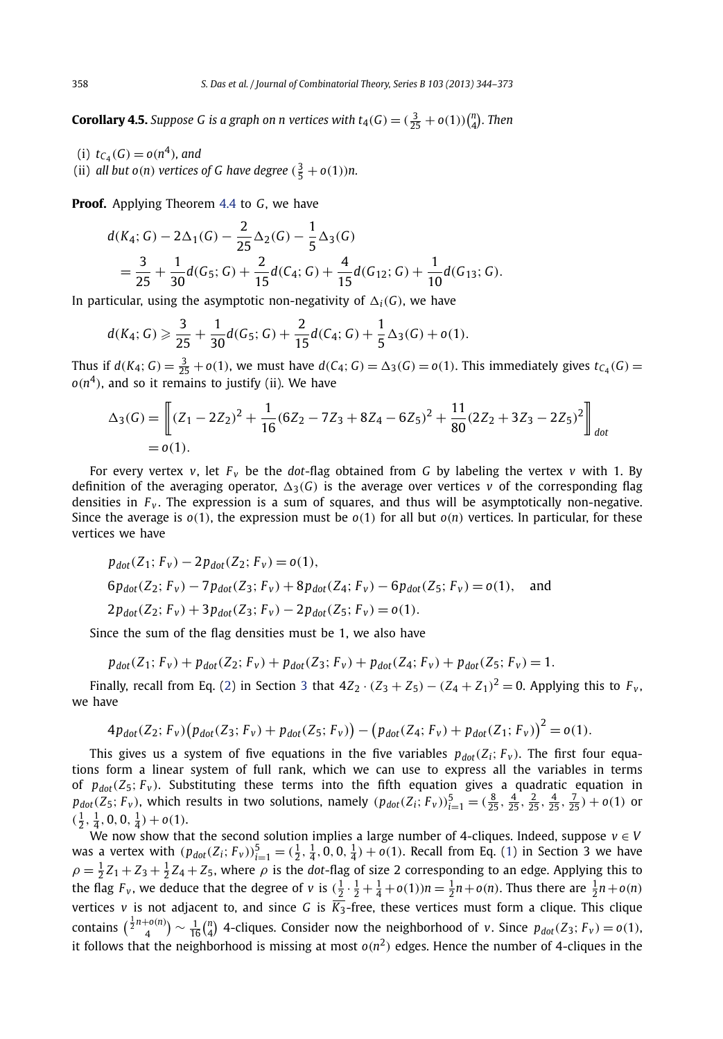<span id="page-14-0"></span>**Corollary 4.5.** Suppose G is a graph on n vertices with  $t_4(G) = (\frac{3}{25} + o(1))\binom{n}{4}$ . Then

 $(t)$   $t_{C_4}(G) = o(n^4)$ *, and* 

(ii) all but  $o(n)$  vertices of G have degree  $(\frac{3}{5} + o(1))n$ .

**Proof.** Applying Theorem [4.4](#page-13-0) to *G*, we have

$$
d(K_4; G) - 2\Delta_1(G) - \frac{2}{25}\Delta_2(G) - \frac{1}{5}\Delta_3(G)
$$
  
=  $\frac{3}{25} + \frac{1}{30}d(G_5; G) + \frac{2}{15}d(C_4; G) + \frac{4}{15}d(G_{12}; G) + \frac{1}{10}d(G_{13}; G).$ 

In particular, using the asymptotic non-negativity of  $\Delta_i(G)$ , we have

$$
d(K_4; G) \geq \frac{3}{25} + \frac{1}{30}d(G_5; G) + \frac{2}{15}d(C_4; G) + \frac{1}{5}\Delta_3(G) + o(1).
$$

Thus if  $d(K_4; G) = \frac{3}{25} + o(1)$ , we must have  $d(C_4; G) = \Delta_3(G) = o(1)$ . This immediately gives  $t_{C_4}(G) =$  $o(n<sup>4</sup>)$ , and so it remains to justify (ii). We have

$$
\Delta_3(G) = \left[ (Z_1 - 2Z_2)^2 + \frac{1}{16} (6Z_2 - 7Z_3 + 8Z_4 - 6Z_5)^2 + \frac{11}{80} (2Z_2 + 3Z_3 - 2Z_5)^2 \right]_{dot}
$$
  
=  $o(1)$ .

For every vertex  $v$ , let  $F_v$  be the *dot*-flag obtained from *G* by labeling the vertex  $v$  with 1. By definition of the averaging operator,  $\Delta_3(G)$  is the average over vertices *v* of the corresponding flag densities in  $F_v$ . The expression is a sum of squares, and thus will be asymptotically non-negative. Since the average is  $o(1)$ , the expression must be  $o(1)$  for all but  $o(n)$  vertices. In particular, for these vertices we have

$$
p_{dot}(Z_1; F_v) - 2p_{dot}(Z_2; F_v) = o(1),
$$
  
\n
$$
6p_{dot}(Z_2; F_v) - 7p_{dot}(Z_3; F_v) + 8p_{dot}(Z_4; F_v) - 6p_{dot}(Z_5; F_v) = o(1),
$$
 and  
\n
$$
2p_{dot}(Z_2; F_v) + 3p_{dot}(Z_3; F_v) - 2p_{dot}(Z_5; F_v) = o(1).
$$

Since the sum of the flag densities must be 1, we also have

$$
p_{dot}(Z_1; F_v) + p_{dot}(Z_2; F_v) + p_{dot}(Z_3; F_v) + p_{dot}(Z_4; F_v) + p_{dot}(Z_5; F_v) = 1.
$$

Finally, recall from Eq. [\(2\)](#page-7-0) in Section [3](#page-4-0) that  $4Z_2 \cdot (Z_3 + Z_5) - (Z_4 + Z_1)^2 = 0$ . Applying this to  $F_v$ , we have

$$
4p_{dot}(Z_2; F_v)\big(p_{dot}(Z_3; F_v) + p_{dot}(Z_5; F_v)\big) - \big(p_{dot}(Z_4; F_v) + p_{dot}(Z_1; F_v)\big)^2 = o(1).
$$

This gives us a system of five equations in the five variables  $p_{dot}(Z_i; F_v)$ . The first four equations form a linear system of full rank, which we can use to express all the variables in terms of  $p_{dot}(Z_5; F_v)$ . Substituting these terms into the fifth equation gives a quadratic equation in  $p_{dot}(Z_5; F_v)$ , which results in two solutions, namely  $(p_{dot}(Z_i; F_v))_{i=1}^5 = (\frac{8}{25}, \frac{4}{25}, \frac{2}{25}, \frac{4}{25}, \frac{7}{25}) + o(1)$  or  $(\frac{1}{2}, \frac{1}{4}, 0, 0, \frac{1}{4}) + o(1)$ .

We now show that the second solution implies a large number of 4-cliques. Indeed, suppose  $v \in V$ was a vertex with  $(p_{dot}(Z_i; F_v))_{i=1}^5 = (\frac{1}{2}, \frac{1}{4}, 0, 0, \frac{1}{4}) + o(1)$  $(p_{dot}(Z_i; F_v))_{i=1}^5 = (\frac{1}{2}, \frac{1}{4}, 0, 0, \frac{1}{4}) + o(1)$ . Recall from Eq. (1) in Section 3 we have  $\rho = \frac{1}{2}Z_1 + Z_3 + \frac{1}{2}Z_4 + Z_5$ , where  $\rho$  is the *dot*-flag of size 2 corresponding to an edge. Applying this to the flag  $F_v$ , we deduce that the degree of v is  $(\frac{1}{2} \cdot \frac{1}{2} + \frac{1}{4} + o(1))n = \frac{1}{2}n + o(n)$ . Thus there are  $\frac{1}{2}n + o(n)$ vertices *v* is not adjacent to, and since *G* is  $\overline{K_3}$ -free, these vertices must form a clique. This clique contains  $\left(\frac{\frac{1}{2}n+o(n)}{4}\right) \sim \frac{1}{16} {n \choose 4}$  4-cliques. Consider now the neighborhood of v. Since  $p_{dot}(Z_3; F_v) = o(1)$ , it follows that the neighborhood is missing at most  $o(n^2)$  edges. Hence the number of 4-cliques in the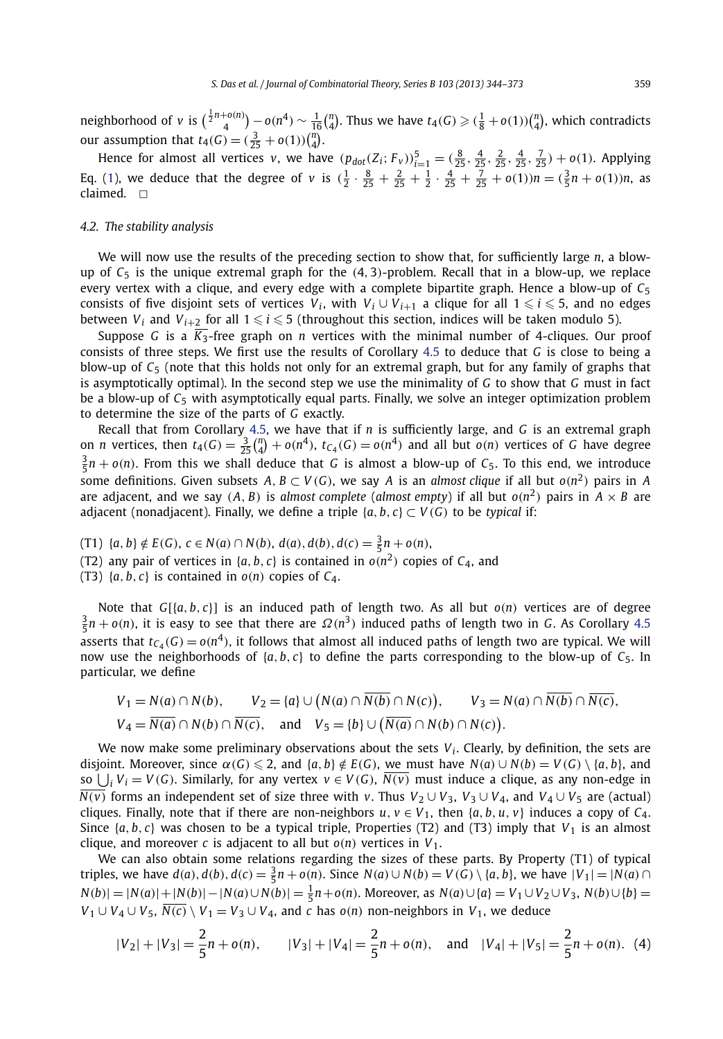<span id="page-15-0"></span>neighborhood of v is  $\left(\frac{\frac{1}{2}n+o(n)}{4}\right)$   $\sim$   $o(n^4) \sim \frac{1}{16} {n \choose 4}$ . Thus we have  $t_4(G) \geqslant (\frac{1}{8}+o(1)){n \choose 4}$ , which contradicts our assumption that  $t_4(G) = (\frac{3}{25} + o(1))\binom{n}{4}$ .

Hence for almost all vertices v, we have  $(p_{dot}(Z_i; F_v))_{i=1}^5 = (\frac{8}{25}, \frac{4}{25}, \frac{2}{25}, \frac{4}{25}, \frac{7}{25}) + o(1)$ . Applying Eq. [\(1\)](#page-7-0), we deduce that the degree of *v* is  $(\frac{1}{2} \cdot \frac{8}{25} + \frac{2}{25} + \frac{1}{2} \cdot \frac{4}{25} + \frac{7}{25} + o(1))n = (\frac{3}{5}n + o(1))n$ , as claimed.  $\square$ 

#### *4.2. The stability analysis*

We will now use the results of the preceding section to show that, for sufficiently large *n*, a blowup of  $C_5$  is the unique extremal graph for the  $(4,3)$ -problem. Recall that in a blow-up, we replace every vertex with a clique, and every edge with a complete bipartite graph. Hence a blow-up of  $C_5$ consists of five disjoint sets of vertices *V<sub>i</sub>*, with *V<sub>i</sub>* ∪ *V<sub>i+1</sub>* a clique for all  $1 \leq i \leq 5$ , and no edges between  $V_i$  and  $V_{i+2}$  for all  $1 \leq i \leq 5$  (throughout this section, indices will be taken modulo 5).

Suppose *G* is a  $\overline{K_3}$ -free graph on *n* vertices with the minimal number of 4-cliques. Our proof consists of three steps. We first use the results of Corollary [4.5](#page-14-0) to deduce that *G* is close to being a blow-up of *C*<sup>5</sup> (note that this holds not only for an extremal graph, but for any family of graphs that is asymptotically optimal). In the second step we use the minimality of *G* to show that *G* must in fact be a blow-up of *C*<sup>5</sup> with asymptotically equal parts. Finally, we solve an integer optimization problem to determine the size of the parts of *G* exactly.

Recall that from Corollary [4.5,](#page-14-0) we have that if *n* is sufficiently large, and *G* is an extremal graph on *n* vertices, then  $t_4(G) = \frac{3}{25} {n \choose 4} + o(n^4)$ ,  $t_{C_4}(G) = o(n^4)$  and all but  $o(n)$  vertices of G have degree  $\frac{3}{5}n + o(n)$ . From this we shall deduce that *G* is almost a blow-up of *C*<sub>5</sub>. To this end, we introduce some definitions. Given subsets  $A, B \subset V(G)$ , we say  $A$  is an *almost clique* if all but  $o(n^2)$  pairs in  $A$ are adjacent, and we say  $(A, B)$  is *almost complete* (*almost empty*) if all but  $o(n^2)$  pairs in  $A \times B$  are adjacent (nonadjacent). Finally, we define a triple  $\{a, b, c\} \subset V(G)$  to be *typical* if:

- (T1)  $\{a, b\} \notin E(G)$ ,  $c \in N(a) \cap N(b)$ ,  $d(a), d(b), d(c) = \frac{3}{5}n + o(n)$ ,
- (T2) any pair of vertices in  $\{a, b, c\}$  is contained in  $o(n^2)$  copies of  $C_4$ , and
- (T3)  $\{a, b, c\}$  is contained in  $o(n)$  copies of  $C_4$ .

Note that *G*[{*a, b, c*}] is an induced path of length two. As all but *o(n)* vertices are of degree  $\frac{3}{5}n + o(n)$ , it is easy to see that there are  $\Omega(n^3)$  induced paths of length two in *G*. As Corollary [4.5](#page-14-0) asserts that  $t_{C_A}(G) = o(n^4)$ , it follows that almost all induced paths of length two are typical. We will now use the neighborhoods of  ${a,b,c}$  to define the parts corresponding to the blow-up of  $C_5$ . In particular, we define

$$
V_1 = N(a) \cap N(b), \qquad V_2 = \{a\} \cup (N(a) \cap \overline{N(b)} \cap N(c)), \qquad V_3 = N(a) \cap \overline{N(b)} \cap \overline{N(c)},
$$
  

$$
V_4 = \overline{N(a)} \cap N(b) \cap \overline{N(c)}, \quad \text{and} \quad V_5 = \{b\} \cup (\overline{N(a)} \cap N(b) \cap N(c)).
$$

We now make some preliminary observations about the sets *Vi*. Clearly, by definition, the sets are disjoint. Moreover, since  $\alpha(G) \leq 2$ , and  $\{a, b\} \notin E(G)$ , we must have  $N(a) \cup N(b) = V(G) \setminus \{a, b\}$ , and so  $\bigcup_i V_i = V(G)$ . Similarly, for any vertex  $v \in V(G)$ ,  $\overline{N(v)}$  must induce a clique, as any non-edge in  $\overline{N(v)}$  forms an independent set of size three with *v*. Thus  $V_2 \cup V_3$ ,  $V_3 \cup V_4$ , and  $V_4 \cup V_5$  are (actual) cliques. Finally, note that if there are non-neighbors  $u, v \in V_1$ , then  $\{a, b, u, v\}$  induces a copy of  $C_4$ . Since  $\{a, b, c\}$  was chosen to be a typical triple, Properties (T2) and (T3) imply that  $V_1$  is an almost clique, and moreover *c* is adjacent to all but  $o(n)$  vertices in  $V_1$ .

We can also obtain some relations regarding the sizes of these parts. By Property (T1) of typical triples, we have  $d(a)$ ,  $d(b)$ ,  $d(c) = \frac{3}{5}n + o(n)$ . Since  $N(a) \cup N(b) = V(G) \setminus \{a, b\}$ , we have  $|V_1| = |N(a) \cap N(b)|$  $N(b)| = |N(a)| + |N(b)| - |N(a) \cup N(b)| = \frac{1}{5}n + o(n)$ . Moreover, as  $N(a) \cup \{a\} = V_1 \cup V_2 \cup V_3$ ,  $N(b) \cup \{b\} =$ *V*<sub>1</sub> ∪ *V*<sub>4</sub> ∪ *V*<sub>5</sub>,  $\overline{N(c)} \setminus V_1 = V_3 \cup V_4$ , and *c* has *o*(*n*) non-neighbors in *V*<sub>1</sub>, we deduce

$$
|V_2| + |V_3| = \frac{2}{5}n + o(n)
$$
,  $|V_3| + |V_4| = \frac{2}{5}n + o(n)$ , and  $|V_4| + |V_5| = \frac{2}{5}n + o(n)$ . (4)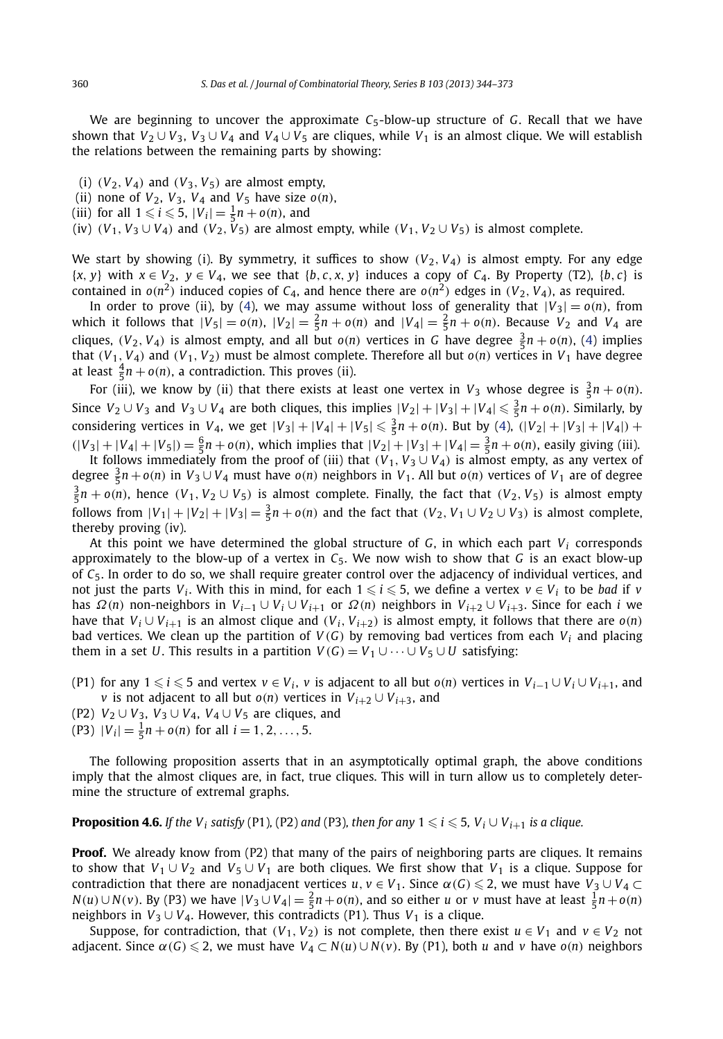<span id="page-16-0"></span>We are beginning to uncover the approximate  $C_5$ -blow-up structure of G. Recall that we have shown that  $V_2 \cup V_3$ ,  $V_3 \cup V_4$  and  $V_4 \cup V_5$  are cliques, while  $V_1$  is an almost clique. We will establish the relations between the remaining parts by showing:

- (i)  $(V_2, V_4)$  and  $(V_3, V_5)$  are almost empty,
- (ii) none of  $V_2$ ,  $V_3$ ,  $V_4$  and  $V_5$  have size  $o(n)$ ,
- (iii) for all  $1 \le i \le 5$ ,  $|V_i| = \frac{1}{5}n + o(n)$ , and
- *(iv)*  $(V_1, V_3 \cup V_4)$  and  $(V_2, V_5)$  are almost empty, while  $(V_1, V_2 \cup V_5)$  is almost complete.

We start by showing (i). By symmetry, it suffices to show  $(V_2, V_4)$  is almost empty. For any edge  $\{x, y\}$  with  $x \in V_2$ ,  $y \in V_4$ , we see that  $\{b, c, x, y\}$  induces a copy of  $C_4$ . By Property (T2),  $\{b, c\}$  is contained in  $o(n^2)$  induced copies of  $C_4$ , and hence there are  $o(n^2)$  edges in  $(V_2, V_4)$ , as required.

In order to prove (ii), by [\(4\)](#page-15-0), we may assume without loss of generality that  $|V_3| = o(n)$ , from which it follows that  $|V_5| = o(n)$ ,  $|V_2| = \frac{2}{5}n + o(n)$  and  $|V_4| = \frac{2}{5}n + o(n)$ . Because  $V_2$  and  $V_4$  are cliques,  $(V_2, V_4)$  is almost empty, and all but  $o(n)$  vertices in *G* have degree  $\frac{3}{5}n + o(n)$ , [\(4\)](#page-15-0) implies that  $(V_1, V_4)$  and  $(V_1, V_2)$  must be almost complete. Therefore all but  $o(n)$  vertices in  $V_1$  have degree at least  $\frac{4}{5}n + o(n)$ , a contradiction. This proves (ii).

For (iii), we know by (ii) that there exists at least one vertex in  $V_3$  whose degree is  $\frac{3}{5}n + o(n)$ . Since *V*<sub>2</sub> ∪ *V*<sub>3</sub> and *V*<sub>3</sub> ∪ *V*<sub>4</sub> are both cliques, this implies  $|V_2| + |V_3| + |V_4| \leq \frac{3}{5}n + o(n)$ . Similarly, by considering vertices in *V*<sub>4</sub>, we get  $|V_3| + |V_4| + |V_5| \leq \frac{3}{5}n + o(n)$ . But by [\(4\)](#page-15-0),  $(|V_2| + |V_3| + |V_4|) +$  $(|V_3| + |V_4| + |V_5|) = \frac{6}{5}n + o(n)$ , which implies that  $|V_2| + |V_3| + |V_4| = \frac{3}{5}n + o(n)$ , easily giving (iii).

It follows immediately from the proof of (iii) that  $(V_1, V_3 \cup V_4)$  is almost empty, as any vertex of degree  $\frac{3}{5}n + o(n)$  in  $V_3 \cup V_4$  must have  $o(n)$  neighbors in  $V_1$ . All but  $o(n)$  vertices of  $V_1$  are of degree  $\frac{3}{5}n + o(n)$ , hence  $(V_1, V_2 \cup V_5)$  is almost complete. Finally, the fact that  $(V_2, V_5)$  is almost empty follows from  $|V_1| + |V_2| + |V_3| = \frac{3}{5}n + o(n)$  and the fact that  $(V_2, V_1 \cup V_2 \cup V_3)$  is almost complete, thereby proving (iv).

At this point we have determined the global structure of  $G$ , in which each part  $V_i$  corresponds approximately to the blow-up of a vertex in  $C_5$ . We now wish to show that *G* is an exact blow-up of *C*5. In order to do so, we shall require greater control over the adjacency of individual vertices, and not just the parts *V<sub>i</sub>*. With this in mind, for each  $1 \le i \le 5$ , we define a vertex  $v \in V_i$  to be *bad* if *v* has *Ω(n)* non-neighbors in *Vi*−<sup>1</sup> ∪ *Vi* ∪ *Vi*+<sup>1</sup> or *Ω(n)* neighbors in *Vi*+<sup>2</sup> ∪ *Vi*+3. Since for each *i* we have that  $V_i \cup V_{i+1}$  is an almost clique and  $(V_i, V_{i+2})$  is almost empty, it follows that there are  $o(n)$ bad vertices. We clean up the partition of  $V(G)$  by removing bad vertices from each  $V_i$  and placing them in a set *U*. This results in a partition  $V(G) = V_1 \cup \cdots \cup V_5 \cup U$  satisfying:

- (P1) for any  $1 \le i \le 5$  and vertex  $v \in V_i$ ,  $v$  is adjacent to all but  $o(n)$  vertices in  $V_{i-1} \cup V_i \cup V_{i+1}$ , and *v* is not adjacent to all but *o(n)* vertices in  $V_{i+2} \cup V_{i+3}$ , and
- (P2)  $V_2 \cup V_3$ ,  $V_3 \cup V_4$ ,  $V_4 \cup V_5$  are cliques, and
- (P3)  $|V_i| = \frac{1}{5}n + o(n)$  for all  $i = 1, 2, ..., 5$ .

The following proposition asserts that in an asymptotically optimal graph, the above conditions imply that the almost cliques are, in fact, true cliques. This will in turn allow us to completely determine the structure of extremal graphs.

#### **Proposition 4.6.** *If the V<sub>i</sub> satisfy* (P1), (P2) and (P3), then for any  $1 \le i \le 5$ ,  $V_i \cup V_{i+1}$  is a clique.

**Proof.** We already know from (P2) that many of the pairs of neighboring parts are cliques. It remains to show that  $V_1 \cup V_2$  and  $V_5 \cup V_1$  are both cliques. We first show that  $V_1$  is a clique. Suppose for contradiction that there are nonadjacent vertices *u*,  $v \in V_1$ . Since  $\alpha(G) \leq 2$ , we must have  $V_3 \cup V_4 \subset$  $N(u) \cup N(v)$ . By (P3) we have  $|V_3 \cup V_4| = \frac{2}{5}n + o(n)$ , and so either u or v must have at least  $\frac{1}{5}n + o(n)$ neighbors in  $V_3 \cup V_4$ . However, this contradicts (P1). Thus  $V_1$  is a clique.

Suppose, for contradiction, that  $(V_1, V_2)$  is not complete, then there exist  $u \in V_1$  and  $v \in V_2$  not adjacent. Since  $\alpha(G) \leq 2$ , we must have  $V_4 \subset N(u) \cup N(v)$ . By (P1), both *u* and *v* have  $o(n)$  neighbors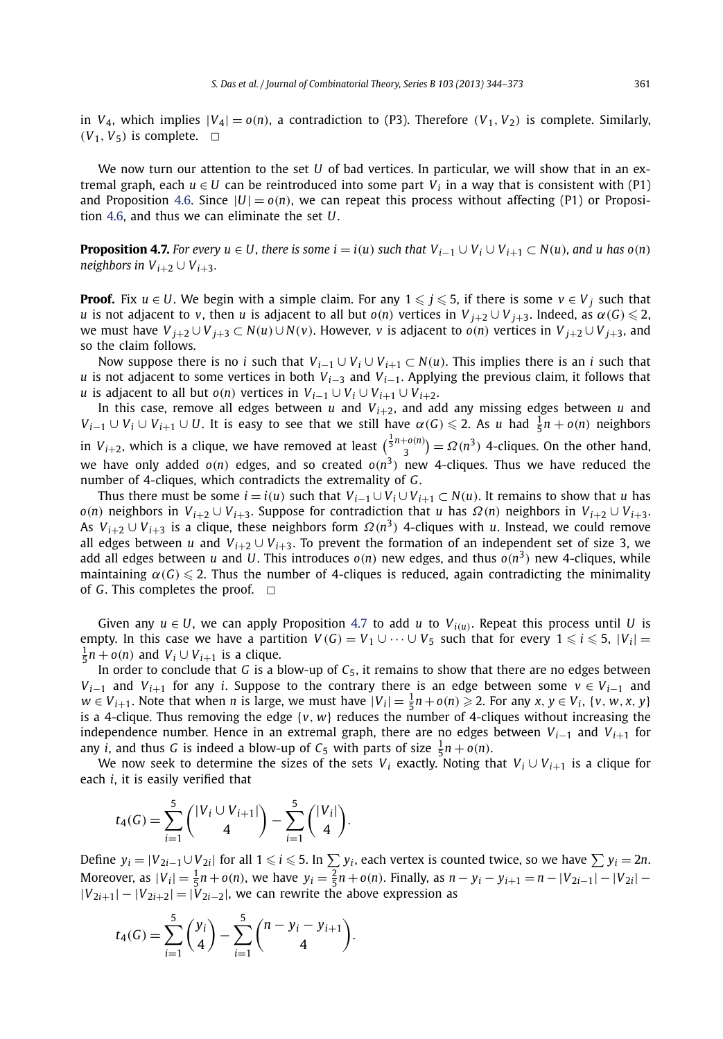in  $V_4$ , which implies  $|V_4| = o(n)$ , a contradiction to (P3). Therefore  $(V_1, V_2)$  is complete. Similarly,  $(V_1, V_5)$  is complete.  $\Box$ 

We now turn our attention to the set *U* of bad vertices. In particular, we will show that in an extremal graph, each  $u \in U$  can be reintroduced into some part  $V_i$  in a way that is consistent with (P1) and Proposition [4.6.](#page-16-0) Since  $|U| = o(n)$ , we can repeat this process without affecting (P1) or Proposition [4.6,](#page-16-0) and thus we can eliminate the set *U*.

**Proposition 4.7.** For every  $u \in U$ , there is some  $i = i(u)$  such that  $V_{i-1} \cup V_i \cup V_{i+1} \subset N(u)$ , and u has  $o(n)$ *neighbors in*  $V_{i+2} \cup V_{i+3}$ *.* 

**Proof.** Fix  $u \in U$ . We begin with a simple claim. For any  $1 \leq i \leq 5$ , if there is some  $v \in V_i$  such that *u* is not adjacent to *v*, then *u* is adjacent to all but  $o(n)$  vertices in  $V_{i+2} \cup V_{i+3}$ . Indeed, as  $\alpha(G) \leq 2$ , we must have  $V_{i+2} \cup V_{i+3} \subset N(u) \cup N(v)$ . However, v is adjacent to  $o(n)$  vertices in  $V_{i+2} \cup V_{i+3}$ , and so the claim follows.

Now suppose there is no *i* such that  $V_{i-1} \cup V_i \cup V_{i+1} \subset N(u)$ . This implies there is an *i* such that *u* is not adjacent to some vertices in both *V<sub>i−3</sub>* and *V<sub>i−1</sub>*. Applying the previous claim, it follows that *u* is adjacent to all but *o(n)* vertices in  $V_{i-1}$  ∪  $V_i$  ∪  $V_{i+1}$  ∪  $V_{i+2}$ .

In this case, remove all edges between *u* and *Vi*+2, and add any missing edges between *u* and *V*<sub>*i*−1</sub> ∪ *V<sub>i</sub>* ∪ *V*<sub>*i*+1</sub> ∪ *U*. It is easy to see that we still have  $\alpha$ (*G*)  $\leqslant$  2. As *u* had  $\frac{1}{5}n + o(n)$  neighbors in  $V_{i+2}$ , which is a clique, we have removed at least  $\binom{\frac{1}{3}n+o(n)}{3} = \Omega(n^3)$  4-cliques. On the other hand, we have only added  $o(n)$  edges, and so created  $o(n^3)$  new 4-cliques. Thus we have reduced the number of 4-cliques, which contradicts the extremality of *G*.

Thus there must be some  $i = i(u)$  such that  $V_{i-1} \cup V_i \cup V_{i+1} \subset N(u)$ . It remains to show that *u* has *o*(*n*) neighbors in  $V_{i+2} \cup V_{i+3}$ . Suppose for contradiction that *u* has  $\Omega(n)$  neighbors in  $V_{i+2} \cup V_{i+3}$ . As  $V_{i+2} \cup V_{i+3}$  is a clique, these neighbors form  $\Omega(n^3)$  4-cliques with *u*. Instead, we could remove all edges between *u* and  $V_{i+2} \cup V_{i+3}$ . To prevent the formation of an independent set of size 3, we add all edges between *u* and *U*. This introduces  $o(n)$  new edges, and thus  $o(n^3)$  new 4-cliques, while maintaining  $\alpha(G) \leq 2$ . Thus the number of 4-cliques is reduced, again contradicting the minimality of *G*. This completes the proof.  $\Box$ 

Given any  $u \in U$ , we can apply Proposition 4.7 to add *u* to  $V_{i(u)}$ . Repeat this process until *U* is empty. In this case we have a partition  $V(G) = V_1 \cup \cdots \cup V_5$  such that for every  $1 \le i \le 5$ ,  $|V_i|$  =  $\frac{1}{5}n + o(n)$  and  $V_i \cup V_{i+1}$  is a clique.

In order to conclude that *G* is a blow-up of *C*5, it remains to show that there are no edges between *V<sub>i−1</sub>* and *V*<sub>i+1</sub> for any *i*. Suppose to the contrary there is an edge between some  $v \in V_{i-1}$  and  $w \in V_{i+1}$ . Note that when *n* is large, we must have  $|V_i| = \frac{1}{5}n + o(n) \ge 2$ . For any  $x, y \in V_i$ ,  $\{v, w, x, y\}$ is a 4-clique. Thus removing the edge  $\{v, w\}$  reduces the number of 4-cliques without increasing the independence number. Hence in an extremal graph, there are no edges between *Vi*−<sup>1</sup> and *Vi*+<sup>1</sup> for any *i*, and thus *G* is indeed a blow-up of  $C_5$  with parts of size  $\frac{1}{5}n + o(n)$ .

We now seek to determine the sizes of the sets  $V_i$  exactly. Noting that  $V_i \cup V_{i+1}$  is a clique for each *i*, it is easily verified that

$$
t_4(G) = \sum_{i=1}^{5} \binom{|V_i \cup V_{i+1}|}{4} - \sum_{i=1}^{5} \binom{|V_i|}{4}.
$$

Define  $y_i = |V_{2i-1} \cup V_{2i}|$  for all  $1 \le i \le 5$ . In  $\sum y_i$ , each vertex is counted twice, so we have  $\sum y_i = 2n$ . Moreover, as  $|V_i| = \frac{1}{5}n + o(n)$ , we have  $y_i = \frac{2}{5}n + o(n)$ . Finally, as  $n - y_i - y_{i+1} = n - |V_{2i-1}| - |V_{2i}|$  $|V_{2i+1}|-|V_{2i+2}|=|V_{2i-2}|$ , we can rewrite the above expression as

$$
t_4(G) = \sum_{i=1}^{5} {y_i \choose 4} - \sum_{i=1}^{5} {n - y_i - y_{i+1} \choose 4}.
$$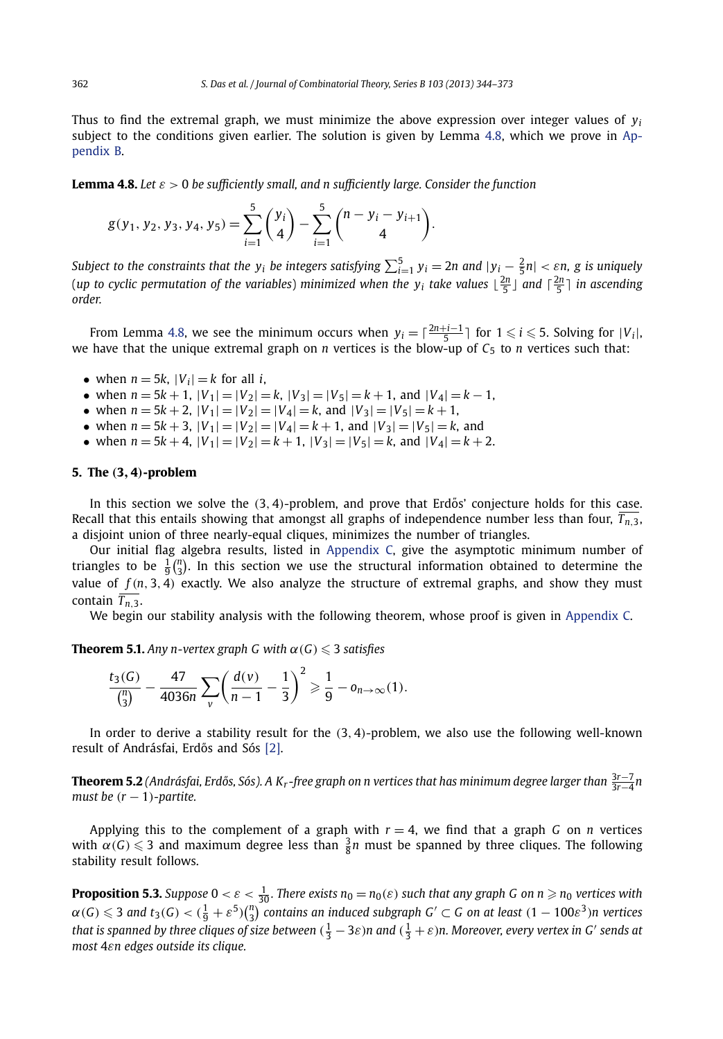<span id="page-18-0"></span>Thus to find the extremal graph, we must minimize the above expression over integer values of  $v_i$ subject to the conditions given earlier. The solution is given by Lemma 4.8, which we prove in [Ap](#page-24-0)[pendix B.](#page-24-0)

**Lemma 4.8.** *Let ε >* 0 *be sufficiently small, and n sufficiently large. Consider the function*

$$
g(y_1, y_2, y_3, y_4, y_5) = \sum_{i=1}^5 \binom{y_i}{4} - \sum_{i=1}^5 \binom{n - y_i - y_{i+1}}{4}.
$$

*Subject to the constraints that the*  $y_i$  *<i>be integers satisfying*  $\sum_{i=1}^5 y_i = 2n$  *and*  $|y_i - \frac{2}{5}n| < \varepsilon n$ , *g is uniquely*  $up$  *to cyclic permutation of the variables*) *minimized when the y<sub>i</sub> take values*  $\lfloor \frac{2n}{5} \rfloor$  *and*  $\lceil \frac{2n}{5} \rceil$  *in ascending order.*

From Lemma 4.8, we see the minimum occurs when  $y_i = \lceil \frac{2n+i-1}{5} \rceil$  for  $1 \leq i \leq 5$ . Solving for  $|V_i|$ , we have that the unique extremal graph on *n* vertices is the blow-up of  $C_5$  to *n* vertices such that:

- when  $n = 5k$ ,  $|V_i| = k$  for all *i*,
- when  $n = 5k + 1$ ,  $|V_1| = |V_2| = k$ ,  $|V_3| = |V_5| = k + 1$ , and  $|V_4| = k 1$ ,
- when  $n = 5k + 2$ ,  $|V_1| = |V_2| = |V_4| = k$ , and  $|V_3| = |V_5| = k + 1$ ,
- when  $n = 5k + 3$ ,  $|V_1| = |V_2| = |V_4| = k + 1$ , and  $|V_3| = |V_5| = k$ , and
- when  $n = 5k + 4$ ,  $|V_1| = |V_2| = k + 1$ ,  $|V_3| = |V_5| = k$ , and  $|V_4| = k + 2$ .

#### **5. The** *(***3***,* **4***)***-problem**

In this section we solve the  $(3, 4)$ -problem, and prove that Erdős' conjecture holds for this case. Recall that this entails showing that amongst all graphs of independence number less than four,  $\overline{T_{n,3}}$ , a disjoint union of three nearly-equal cliques, minimizes the number of triangles.

Our initial flag algebra results, listed in [Appendix C,](#page-25-0) give the asymptotic minimum number of triangles to be  $\frac{1}{9} {n \choose 3}$ . In this section we use the structural information obtained to determine the value of  $f(n, 3, 4)$  exactly. We also analyze the structure of extremal graphs, and show they must contain  $\overline{T_{n,3}}$ .

We begin our stability analysis with the following theorem, whose proof is given in [Appendix C.](#page-25-0)

**Theorem 5.1.** *Any n-vertex graph G with*  $\alpha(G) \leq 3$  *satisfies* 

$$
\frac{t_3(G)}{\binom{n}{3}} - \frac{47}{4036n} \sum_{v} \left( \frac{d(v)}{n-1} - \frac{1}{3} \right)^2 \geq \frac{1}{9} - o_{n \to \infty}(1).
$$

In order to derive a stability result for the *(*3*,* 4*)*-problem, we also use the following well-known result of Andrásfai, Erdős and Sós [\[2\].](#page-28-0)

**Theorem 5.2** (Andrásfai, Erdős, Sós). A K<sub>r</sub> -free graph on n vertices that has minimum degree larger than  $\frac{3r-7}{3r-4}$ n *must be*  $(r - 1)$ *-partite.* 

Applying this to the complement of a graph with  $r = 4$ , we find that a graph *G* on *n* vertices with  $\alpha(G) \leq 3$  and maximum degree less than  $\frac{3}{8}n$  must be spanned by three cliques. The following stability result follows.

**Proposition 5.3.** Suppose  $0 < \varepsilon < \frac{1}{30}$ . There exists  $n_0 = n_0(\varepsilon)$  such that any graph G on  $n \geqslant n_0$  vertices with  $\alpha(G)\leqslant 3$  and  $t_3(G)<(\frac{1}{9}+ \varepsilon^5)\binom{n}{3}$  contains an induced subgraph  $G'\subset G$  on at least  $(1-100\varepsilon^3)n$  vertices that is spanned by three cliques of size between  $(\frac13-3\varepsilon)$ n and  $(\frac13+\varepsilon)$ n. Moreover, every vertex in G $'$  sends at *most* 4*εn edges outside its clique.*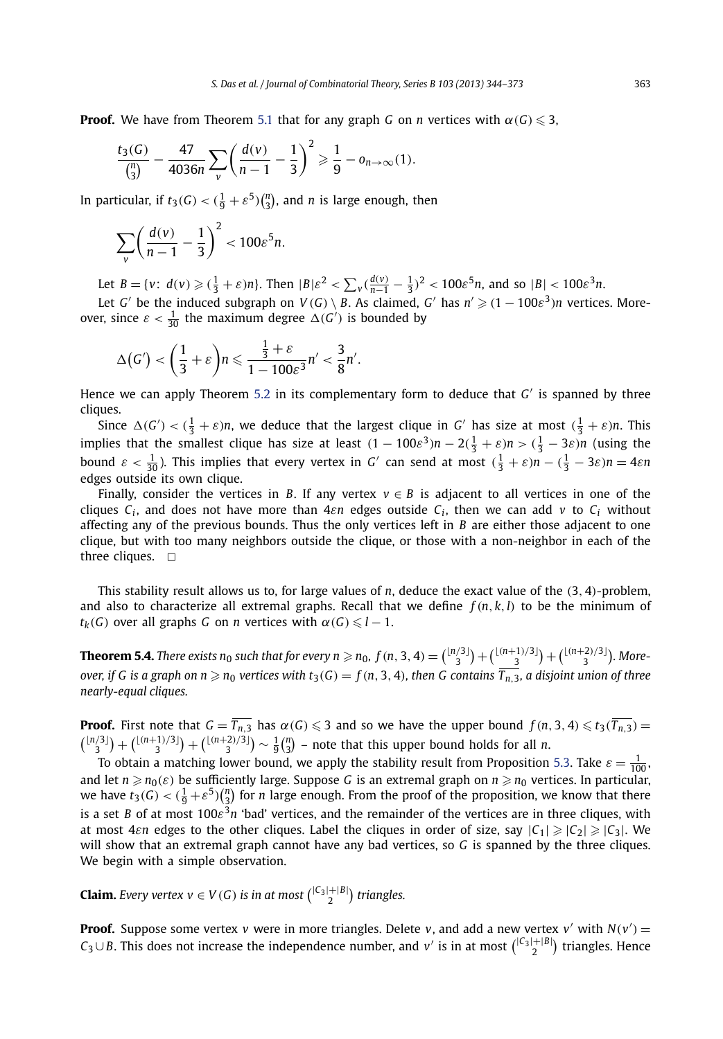**Proof.** We have from Theorem [5.1](#page-18-0) that for any graph *G* on *n* vertices with  $\alpha(G) \leq 3$ ,

$$
\frac{t_3(G)}{\binom{n}{3}} - \frac{47}{4036n} \sum_{v} \left( \frac{d(v)}{n-1} - \frac{1}{3} \right)^2 \geq \frac{1}{9} - o_{n \to \infty}(1).
$$

In particular, if  $t_3(G) < (\frac{1}{9} + \varepsilon^5) {n \choose 3}$ , and *n* is large enough, then

$$
\sum_{v} \left( \frac{d(v)}{n-1} - \frac{1}{3} \right)^2 < 100 \varepsilon^5 n.
$$

Let  $B = \{v: d(v) \geq (\frac{1}{3} + \varepsilon)n\}$ . Then  $|B|\varepsilon^2 < \sum_{v} (\frac{d(v)}{n-1} - \frac{1}{3})^2 < 100\varepsilon^5 n$ , and so  $|B| < 100\varepsilon^3 n$ .

Let *G'* be the induced subgraph on  $V(G) \setminus B$ . As claimed, *G'* has  $n' \geqslant (1 - 100\epsilon^3)n$  vertices. Moreover, since  $\varepsilon < \frac{1}{30}$  the maximum degree  $\Delta(G')$  is bounded by

$$
\Delta(G')<\left(\frac{1}{3}+\varepsilon\right)n\leqslant\frac{\frac{1}{3}+\varepsilon}{1-100\varepsilon^3}n'<\frac{3}{8}n'.
$$

Hence we can apply Theorem [5.2](#page-18-0) in its complementary form to deduce that *G'* is spanned by three cliques.

Since  $\Delta(G') < (\frac{1}{3} + \varepsilon)n$ , we deduce that the largest clique in *G'* has size at most  $(\frac{1}{3} + \varepsilon)n$ . This implies that the smallest clique has size at least  $(1 - 100\varepsilon^3)n - 2(\frac{1}{3} + \varepsilon)n > (\frac{1}{3} - 3\varepsilon)n$  (using the bound  $\varepsilon < \frac{1}{30}$ ). This implies that every vertex in *G'* can send at most  $(\frac{1}{3} + \varepsilon)n - (\frac{1}{3} - 3\varepsilon)n = 4\varepsilon n$ edges outside its own clique.

Finally, consider the vertices in *B*. If any vertex  $v \in B$  is adjacent to all vertices in one of the cliques  $C_i$ , and does not have more than 4 $\epsilon n$  edges outside  $C_i$ , then we can add v to  $C_i$  without affecting any of the previous bounds. Thus the only vertices left in *B* are either those adjacent to one clique, but with too many neighbors outside the clique, or those with a non-neighbor in each of the three cliques.  $\square$ 

This stability result allows us to, for large values of *n*, deduce the exact value of the *(*3*,* 4*)*-problem, and also to characterize all extremal graphs. Recall that we define  $f(n, k, l)$  to be the minimum of *t<sub>k</sub>*(*G*) over all graphs *G* on *n* vertices with  $\alpha$ (*G*)  $\leq$  *l* − 1.

**Theorem 5.4.** There exists  $n_0$  such that for every  $n \ge n_0$ ,  $f(n, 3, 4) = {n_3 \choose 3} + {n_4 \choose 3} + {n_5 \choose 3} + {n_6 \choose 3}$ . Moreover, if G is a graph on  $n\geqslant n_0$  vertices with t3(G)  $=f$  (n, 3, 4), then G contains  $\overline{T_{n,3}}$ , a disjoint union of three *nearly-equal cliques.*

**Proof.** First note that  $G = \overline{T_{n,3}}$  has  $\alpha(G) \leq 3$  and so we have the upper bound  $f(n, 3, 4) \leq t_3(\overline{T_{n,3}}) =$  $\binom{\lfloor n/3 \rfloor}{3} + \binom{\lfloor (n+1)/3 \rfloor}{3} + \binom{\lfloor (n+2)/3 \rfloor}{3} \sim \frac{1}{9} \binom{n}{3}$  – note that this upper bound holds for all *n*.

To obtain a matching lower bound, we apply the stability result from Proposition [5.3.](#page-18-0) Take  $\varepsilon = \frac{1}{100}$ , and let  $n \geqslant n_0(\varepsilon)$  be sufficiently large. Suppose *G* is an extremal graph on  $n \geqslant n_0$  vertices. In particular, we have  $t_3(G)<(\frac{1}{9}+ \varepsilon^5){n \choose 3}$  for *n* large enough. From the proof of the proposition, we know that there is a set *B* of at most 100*ε*<sup>3</sup>*n* 'bad' vertices, and the remainder of the vertices are in three cliques, with at most  $4\varepsilon n$  edges to the other cliques. Label the cliques in order of size, say  $|C_1| \geqslant |C_2| \geqslant |C_3|$ . We will show that an extremal graph cannot have any bad vertices, so *G* is spanned by the three cliques. We begin with a simple observation.

**Claim.** *Every vertex*  $v \in V(G)$  *is in at most*  $\binom{|C_3|+|B|}{2}$  *triangles.* 

**Proof.** Suppose some vertex *v* were in more triangles. Delete *v*, and add a new vertex *v'* with  $N(v') =$  $C_3 \cup B$ . This does not increase the independence number, and *v'* is in at most  $\binom{|C_3|+|B|}{2}$  triangles. Hence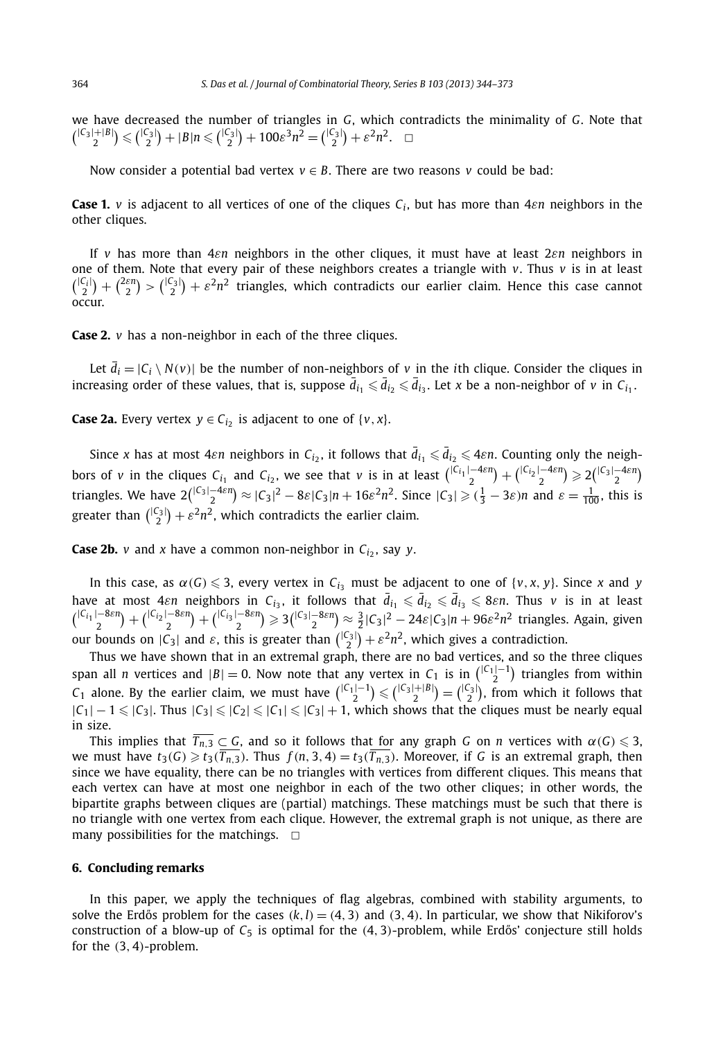we have decreased the number of triangles in *G*, which contradicts the minimality of *G*. Note that  $\binom{|C_3|+|B|}{2} \leq \binom{|C_3|}{2} + |B|n \leq \binom{|C_3|}{2} + 100\varepsilon^3 n^2 = \binom{|C_3|}{2} + \varepsilon^2 n^2.$   $\Box$ 

Now consider a potential bad vertex  $v \in B$ . There are two reasons *v* could be bad:

**Case 1.** *v* is adjacent to all vertices of one of the cliques  $C_i$ , but has more than 4 $\epsilon n$  neighbors in the other cliques.

If *v* has more than 4*εn* neighbors in the other cliques, it must have at least 2*εn* neighbors in one of them. Note that every pair of these neighbors creates a triangle with *v*. Thus *v* is in at least  $\binom{|C_i|}{2} + \binom{2\epsilon n}{2} > \binom{|C_3|}{2} + \epsilon^2 n^2$  triangles, which contradicts our earlier claim. Hence this case cannot occur.

**Case 2.** *v* has a non-neighbor in each of the three cliques.

Let  $\overline{d_i} = |C_i \setminus N(v)|$  be the number of non-neighbors of *v* in the *i*th clique. Consider the cliques in increasing order of these values, that is, suppose  $\overline{d}_{i_1} \leq \overline{d}_{i_2} \leq \overline{d}_{i_3}$ . Let *x* be a non-neighbor of *v* in  $C_{i_1}$ .

**Case 2a.** Every vertex  $y \in C_i$ , is adjacent to one of {*v*, *x*}.

Since *x* has at most  $4\varepsilon n$  neighbors in  $C_{i_2}$ , it follows that  $\overline{d}_{i_1} \leq \overline{d}_{i_2} \leq 4\varepsilon n$ . Counting only the neighbors of *v* in the cliques  $C_{i_1}$  and  $C_{i_2}$ , we see that *v* is in at least  $\binom{|C_{i_1}|-4\epsilon n}{2} + \binom{|C_{i_2}|-4\epsilon n}{2} \ge 2\binom{|C_3|-4\epsilon n}{2}$ triangles. We have  $2\binom{|C_3|-4\epsilon n}{2} \approx |C_3|^2 - 8\varepsilon|C_3|n + 16\varepsilon^2 n^2$ . Since  $|C_3| \geqslant (\frac{1}{3} - 3\varepsilon)n$  and  $\varepsilon = \frac{1}{100}$ , this is greater than  $\binom{|C_3|}{2} + \varepsilon^2 n^2$ , which contradicts the earlier claim.

**Case 2b.** *v* and *x* have a common non-neighbor in  $C_i$ , say *y*.

In this case, as  $\alpha(G) \leq 3$ , every vertex in  $C_{i_3}$  must be adjacent to one of  $\{v, x, y\}$ . Since *x* and *y* have at most 4 $\varepsilon$ *n* neighbors in  $C_{i_3}$ , it follows that  $d_{i_1} \leqslant d_{i_2} \leqslant d_{i_3} \leqslant 8\varepsilon$ *n*. Thus  $v$  is in at least  $\binom{|C_{i_1}| - 8\varepsilon n}{2} + \binom{|C_{i_2}| - 8\varepsilon n}{2} + \binom{|C_{i_3}| - 8\varepsilon n}{2} \geq 3\binom{|C_3| - 8\varepsilon n}{2} \approx \frac{3}{2}|C_3|^2 - 24\varepsilon|C_3|n + 96\varepsilon^2 n^2$  triangles. Again, given our bounds on  $|C_3|$  and  $\varepsilon$ , this is greater than  $\binom{|C_3|}{2} + \varepsilon^2 n^2$ , which gives a contradiction.

Thus we have shown that in an extremal graph, there are no bad vertices, and so the three cliques span all *n* vertices and  $|B| = 0$ . Now note that any vertex in  $C_1$  is in  $\binom{|C_1| - 1}{2}$  triangles from within *C*<sub>1</sub> alone. By the earlier claim, we must have  $\binom{|C_1| - 1}{2}$  ≤  $\binom{|C_3| + |B|}{2}$  =  $\binom{|C_3|}{2}$ , from which it follows that  $|C_1| - 1 \leq |C_3|$ . Thus  $|C_3| \leq |C_2| \leq |C_1| \leq |C_3| + 1$ , which shows that the cliques must be nearly equal in size.

This implies that  $\overline{T_{n,3}} \subset G$ , and so it follows that for any graph *G* on *n* vertices with  $\alpha(G) \leq 3$ , we must have  $t_3(G) \geq t_3(\overline{T_{n,3}})$ . Thus  $f(n,3,4) = t_3(\overline{T_{n,3}})$ . Moreover, if G is an extremal graph, then since we have equality, there can be no triangles with vertices from different cliques. This means that each vertex can have at most one neighbor in each of the two other cliques; in other words, the bipartite graphs between cliques are (partial) matchings. These matchings must be such that there is no triangle with one vertex from each clique. However, the extremal graph is not unique, as there are many possibilities for the matchings.  $\Box$ 

#### **6. Concluding remarks**

In this paper, we apply the techniques of flag algebras, combined with stability arguments, to solve the Erdős problem for the cases  $(k, l) = (4, 3)$  and  $(3, 4)$ . In particular, we show that Nikiforov's construction of a blow-up of  $C_5$  is optimal for the  $(4, 3)$ -problem, while Erdős' conjecture still holds for the *(*3*,* 4*)*-problem.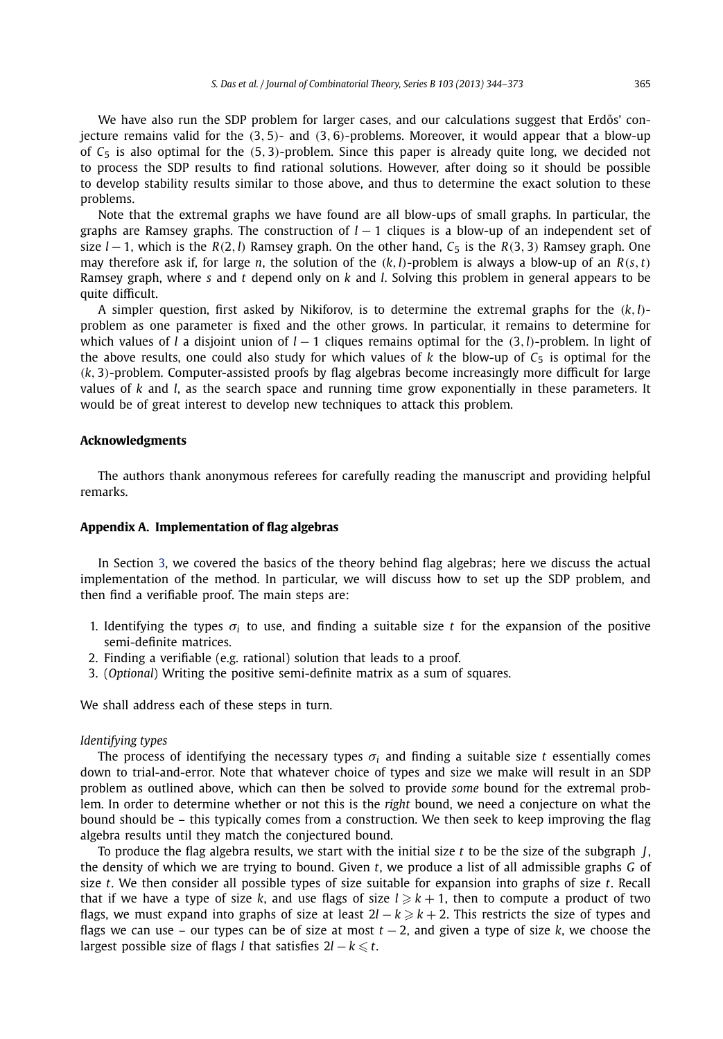<span id="page-21-0"></span>We have also run the SDP problem for larger cases, and our calculations suggest that Erdős' conjecture remains valid for the *(*3*,* 5*)*- and *(*3*,* 6*)*-problems. Moreover, it would appear that a blow-up of *C*<sup>5</sup> is also optimal for the *(*5*,* 3*)*-problem. Since this paper is already quite long, we decided not to process the SDP results to find rational solutions. However, after doing so it should be possible to develop stability results similar to those above, and thus to determine the exact solution to these problems.

Note that the extremal graphs we have found are all blow-ups of small graphs. In particular, the graphs are Ramsey graphs. The construction of *l* − 1 cliques is a blow-up of an independent set of size  $l - 1$ , which is the  $R(2, l)$  Ramsey graph. On the other hand,  $C_5$  is the  $R(3, 3)$  Ramsey graph. One may therefore ask if, for large *n*, the solution of the  $(k, l)$ -problem is always a blow-up of an  $R(s, t)$ Ramsey graph, where *s* and *t* depend only on *k* and *l*. Solving this problem in general appears to be quite difficult.

A simpler question, first asked by Nikiforov, is to determine the extremal graphs for the *(k,l)* problem as one parameter is fixed and the other grows. In particular, it remains to determine for which values of *l* a disjoint union of *l* − 1 cliques remains optimal for the *(*3*,l)*-problem. In light of the above results, one could also study for which values of  $k$  the blow-up of  $C_5$  is optimal for the *(k,* 3*)*-problem. Computer-assisted proofs by flag algebras become increasingly more difficult for large values of *k* and *l*, as the search space and running time grow exponentially in these parameters. It would be of great interest to develop new techniques to attack this problem.

#### **Acknowledgments**

The authors thank anonymous referees for carefully reading the manuscript and providing helpful remarks.

#### **Appendix A. Implementation of flag algebras**

In Section [3,](#page-4-0) we covered the basics of the theory behind flag algebras; here we discuss the actual implementation of the method. In particular, we will discuss how to set up the SDP problem, and then find a verifiable proof. The main steps are:

- 1. Identifying the types  $\sigma_i$  to use, and finding a suitable size t for the expansion of the positive semi-definite matrices.
- 2. Finding a verifiable (e.g. rational) solution that leads to a proof.
- 3. (*Optional*) Writing the positive semi-definite matrix as a sum of squares.

We shall address each of these steps in turn.

#### *Identifying types*

The process of identifying the necessary types  $\sigma_i$  and finding a suitable size *t* essentially comes down to trial-and-error. Note that whatever choice of types and size we make will result in an SDP problem as outlined above, which can then be solved to provide *some* bound for the extremal problem. In order to determine whether or not this is the *right* bound, we need a conjecture on what the bound should be – this typically comes from a construction. We then seek to keep improving the flag algebra results until they match the conjectured bound.

To produce the flag algebra results, we start with the initial size *t* to be the size of the subgraph *J*, the density of which we are trying to bound. Given *t*, we produce a list of all admissible graphs *G* of size *t*. We then consider all possible types of size suitable for expansion into graphs of size *t*. Recall that if we have a type of size  $k$ , and use flags of size  $l \geq k + 1$ , then to compute a product of two flags, we must expand into graphs of size at least  $2l - k \geqslant k + 2$ . This restricts the size of types and flags we can use – our types can be of size at most *t* − 2, and given a type of size *k*, we choose the largest possible size of flags *l* that satisfies 2*l* − *k t*.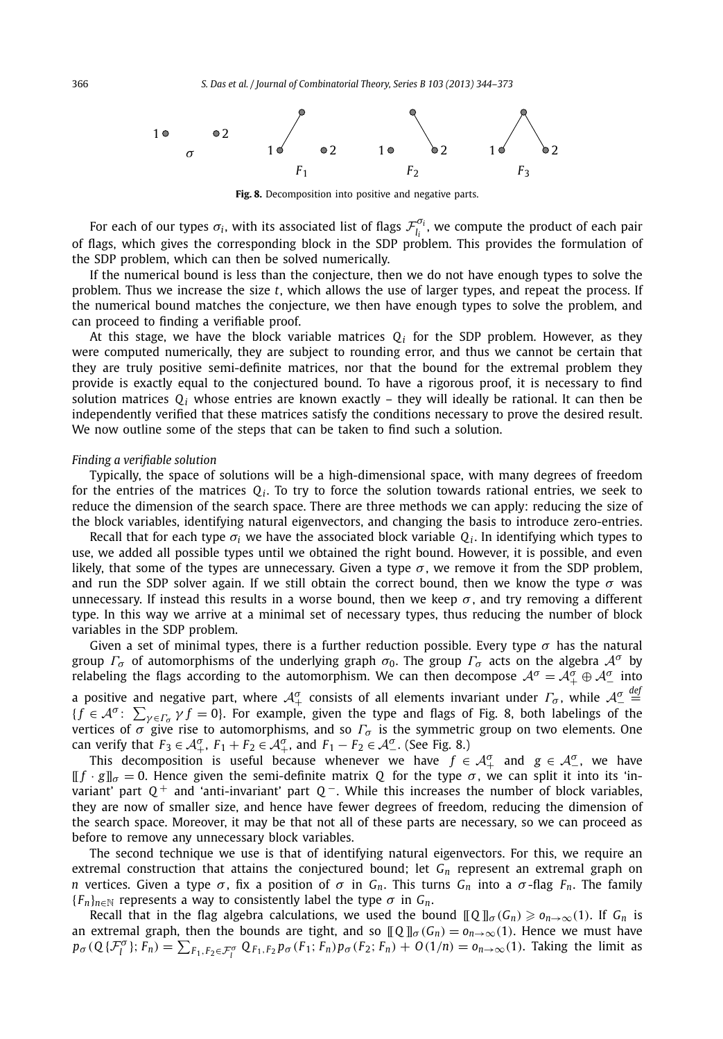

**Fig. 8.** Decomposition into positive and negative parts.

For each of our types  $\sigma_i$ , with its associated list of flags  $\mathcal{F}^{\sigma_i}_{l_i}$ , we compute the product of each pair of flags, which gives the corresponding block in the SDP problem. This provides the formulation of the SDP problem, which can then be solved numerically.

If the numerical bound is less than the conjecture, then we do not have enough types to solve the problem. Thus we increase the size *t*, which allows the use of larger types, and repeat the process. If the numerical bound matches the conjecture, we then have enough types to solve the problem, and can proceed to finding a verifiable proof.

At this stage, we have the block variable matrices *Qi* for the SDP problem. However, as they were computed numerically, they are subject to rounding error, and thus we cannot be certain that they are truly positive semi-definite matrices, nor that the bound for the extremal problem they provide is exactly equal to the conjectured bound. To have a rigorous proof, it is necessary to find solution matrices  $Q_i$  whose entries are known exactly – they will ideally be rational. It can then be independently verified that these matrices satisfy the conditions necessary to prove the desired result. We now outline some of the steps that can be taken to find such a solution.

#### *Finding a verifiable solution*

Typically, the space of solutions will be a high-dimensional space, with many degrees of freedom for the entries of the matrices  $Q_i$ . To try to force the solution towards rational entries, we seek to reduce the dimension of the search space. There are three methods we can apply: reducing the size of the block variables, identifying natural eigenvectors, and changing the basis to introduce zero-entries.

Recall that for each type  $\sigma_i$  we have the associated block variable  $Q_i$ . In identifying which types to use, we added all possible types until we obtained the right bound. However, it is possible, and even likely, that some of the types are unnecessary. Given a type  $\sigma$ , we remove it from the SDP problem, and run the SDP solver again. If we still obtain the correct bound, then we know the type  $\sigma$  was unnecessary. If instead this results in a worse bound, then we keep  $\sigma$ , and try removing a different type. In this way we arrive at a minimal set of necessary types, thus reducing the number of block variables in the SDP problem.

Given a set of minimal types, there is a further reduction possible. Every type  $\sigma$  has the natural group  $\Gamma_{\sigma}$  of automorphisms of the underlying graph  $\sigma_0$ . The group  $\Gamma_{\sigma}$  acts on the algebra  $\mathcal{A}^{\sigma}$  by relabeling the flags according to the automorphism. We can then decompose  $A^{\sigma} = A^{\sigma}_+ \oplus A^{\sigma}_-$  into a positive and negative part, where  $A^{\sigma}_{+}$  consists of all elements invariant under  $\Gamma_{\sigma}$ , while  $A^{\sigma}_{-} \stackrel{def}{=}$  ${f \in \mathcal{A}^{\sigma} \colon \sum_{\gamma \in \Gamma_{\sigma}} \gamma f = 0}$ . For example, given the type and flags of Fig. 8, both labelings of the vertices of  $\sigma$  give rise to automorphisms, and so  $\Gamma_{\sigma}$  is the symmetric group on two elements. One can verify that  $F_3 \in \mathcal{A}^{\sigma}_+$ ,  $F_1 + F_2 \in \mathcal{A}^{\sigma}_+$ , and  $F_1 - F_2 \in \mathcal{A}^{\sigma}_-$ . (See Fig. 8.)

This decomposition is useful because whenever we have  $f \in A_+^\sigma$  and  $g \in A_-^\sigma$ , we have  $[[f \cdot g]]_{\sigma} = 0$ . Hence given the semi-definite matrix *Q* for the type  $\sigma$ , we can split it into its 'invariant' part *Q* <sup>+</sup> and 'anti-invariant' part *Q* <sup>−</sup>. While this increases the number of block variables, they are now of smaller size, and hence have fewer degrees of freedom, reducing the dimension of the search space. Moreover, it may be that not all of these parts are necessary, so we can proceed as before to remove any unnecessary block variables.

The second technique we use is that of identifying natural eigenvectors. For this, we require an extremal construction that attains the conjectured bound; let  $G_n$  represent an extremal graph on *n* vertices. Given a type *σ*, fix a position of *σ* in  $G_n$ . This turns  $G_n$  into a *σ*-flag  $F_n$ . The family  ${F_n}_{n \in \mathbb{N}}$  represents a way to consistently label the type  $\sigma$  in  $G_n$ .

Recall that in the flag algebra calculations, we used the bound  $[\![Q]\!]_{\sigma}(G_n) \geqslant o_{n\to\infty}(1)$ . If  $G_n$  is an extremal graph, then the bounds are tight, and so  $[\![Q]\!]_{\sigma}(G_n) = o_{n \to \infty}(1)$ . Hence we must have  $p_{\sigma}(Q\{\mathcal{F}_{l}^{\sigma}\};F_{n})=\sum_{F_{1},F_{2}\in\mathcal{F}_{l}^{\sigma}}Q_{F_{1},F_{2}}p_{\sigma}(F_{1};F_{n})p_{\sigma}(F_{2};F_{n})+O(1/n)=o_{n\to\infty}(1).$  Taking the limit as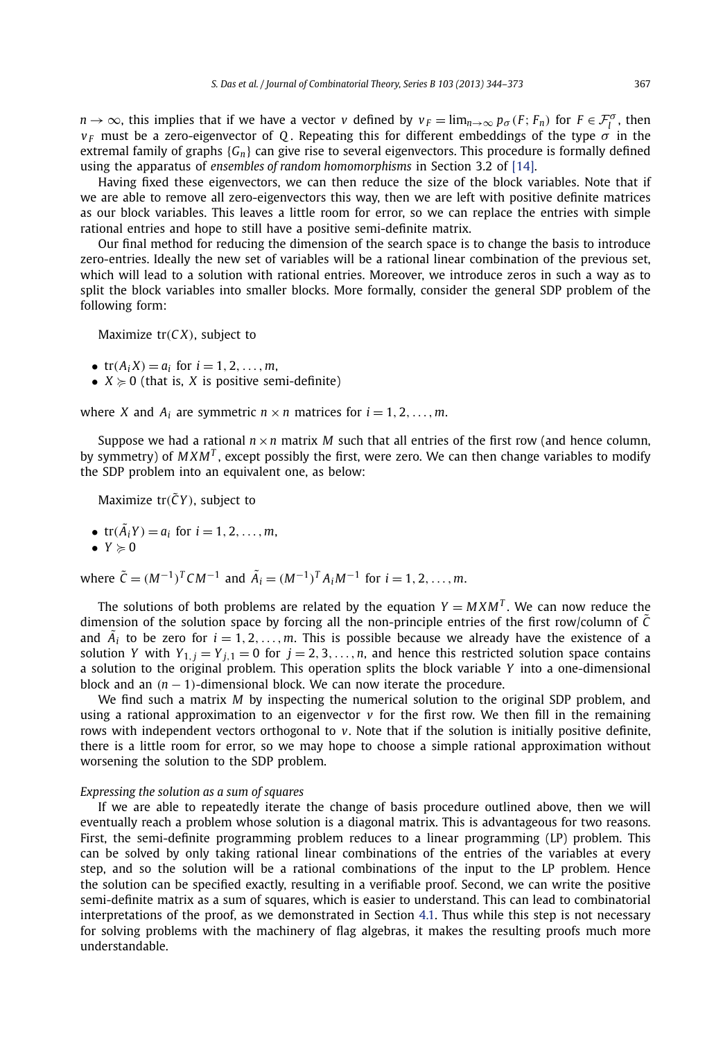*n* → ∞, this implies that if we have a vector *v* defined by  $v_F = \lim_{n\to\infty} p_\sigma(F; F_n)$  for  $F \in \mathcal{F}_l^\sigma$ , then  $v_F$  must be a zero-eigenvector of *Q*. Repeating this for different embeddings of the type  $\sigma$  in the extremal family of graphs {*Gn*} can give rise to several eigenvectors. This procedure is formally defined using the apparatus of *ensembles of random homomorphisms* in Section 3.2 of [\[14\].](#page-29-0)

Having fixed these eigenvectors, we can then reduce the size of the block variables. Note that if we are able to remove all zero-eigenvectors this way, then we are left with positive definite matrices as our block variables. This leaves a little room for error, so we can replace the entries with simple rational entries and hope to still have a positive semi-definite matrix.

Our final method for reducing the dimension of the search space is to change the basis to introduce zero-entries. Ideally the new set of variables will be a rational linear combination of the previous set, which will lead to a solution with rational entries. Moreover, we introduce zeros in such a way as to split the block variables into smaller blocks. More formally, consider the general SDP problem of the following form:

Maximize tr*(C X)*, subject to

- $tr(A_i X) = a_i$  for  $i = 1, 2, ..., m$ ,
- $X \ge 0$  (that is, X is positive semi-definite)

where *X* and  $A_i$  are symmetric  $n \times n$  matrices for  $i = 1, 2, \ldots, m$ .

Suppose we had a rational  $n \times n$  matrix M such that all entries of the first row (and hence column, by symmetry) of *MXM<sup>T</sup>* , except possibly the first, were zero. We can then change variables to modify the SDP problem into an equivalent one, as below:

Maximize tr( $\tilde{C}Y$ ), subject to

•  $tr(\tilde{A}_i Y) = a_i$  for  $i = 1, 2, ..., m$ ,

$$
\bullet\ Y\succcurlyeq 0
$$

 $\tilde{C} = (M^{-1})^T C M^{-1}$  and  $\tilde{A}_i = (M^{-1})^T A_i M^{-1}$  for  $i = 1, 2, ..., m$ .

The solutions of both problems are related by the equation  $Y = M X M^T$ . We can now reduce the dimension of the solution space by forcing all the non-principle entries of the first row/column of *C*˜ and  $\tilde{A}_i$  to be zero for  $i = 1, 2, ..., m$ . This is possible because we already have the existence of a solution *Y* with  $Y_{1,i} = Y_{i,1} = 0$  for  $j = 2, 3, \ldots, n$ , and hence this restricted solution space contains a solution to the original problem. This operation splits the block variable *Y* into a one-dimensional block and an  $(n - 1)$ -dimensional block. We can now iterate the procedure.

We find such a matrix *M* by inspecting the numerical solution to the original SDP problem, and using a rational approximation to an eigenvector *v* for the first row. We then fill in the remaining rows with independent vectors orthogonal to *v*. Note that if the solution is initially positive definite, there is a little room for error, so we may hope to choose a simple rational approximation without worsening the solution to the SDP problem.

#### *Expressing the solution as a sum of squares*

If we are able to repeatedly iterate the change of basis procedure outlined above, then we will eventually reach a problem whose solution is a diagonal matrix. This is advantageous for two reasons. First, the semi-definite programming problem reduces to a linear programming (LP) problem. This can be solved by only taking rational linear combinations of the entries of the variables at every step, and so the solution will be a rational combinations of the input to the LP problem. Hence the solution can be specified exactly, resulting in a verifiable proof. Second, we can write the positive semi-definite matrix as a sum of squares, which is easier to understand. This can lead to combinatorial interpretations of the proof, as we demonstrated in Section [4.1.](#page-10-0) Thus while this step is not necessary for solving problems with the machinery of flag algebras, it makes the resulting proofs much more understandable.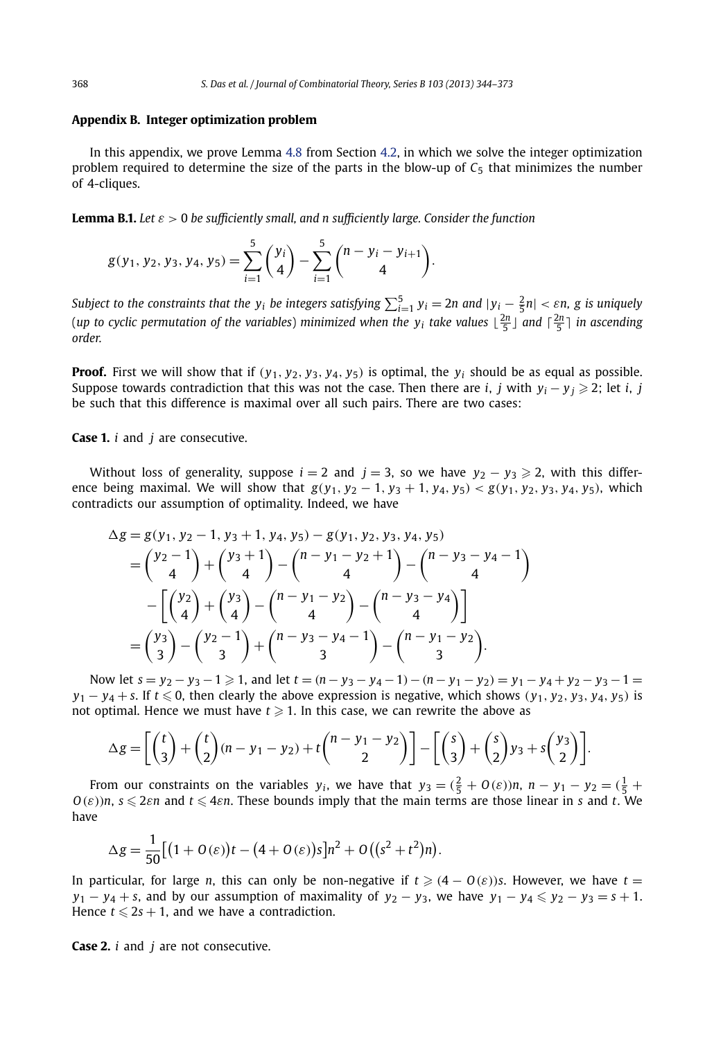#### <span id="page-24-0"></span>**Appendix B. Integer optimization problem**

In this appendix, we prove Lemma [4.8](#page-18-0) from Section [4.2,](#page-15-0) in which we solve the integer optimization problem required to determine the size of the parts in the blow-up of  $C_5$  that minimizes the number of 4-cliques.

**Lemma B.1.** *Let ε >* 0 *be sufficiently small, and n sufficiently large. Consider the function*

$$
g(y_1, y_2, y_3, y_4, y_5) = \sum_{i=1}^5 \binom{y_i}{4} - \sum_{i=1}^5 \binom{n - y_i - y_{i+1}}{4}.
$$

*Subject to the constraints that the*  $y_i$  *<i>be integers satisfying*  $\sum_{i=1}^5 y_i = 2n$  *and*  $|y_i - \frac{2}{5}n| < \varepsilon n$ , *g is uniquely*  $up$  *to cyclic permutation of the variables*) *minimized when the y<sub>i</sub> take values*  $\lfloor \frac{2n}{5} \rfloor$  *and*  $\lceil \frac{2n}{5} \rceil$  *in ascending order.*

**Proof.** First we will show that if  $(y_1, y_2, y_3, y_4, y_5)$  is optimal, the  $y_i$  should be as equal as possible. Suppose towards contradiction that this was not the case. Then there are *i*, *j* with  $y_i - y_j \geqslant 2$ ; let *i*, *j* be such that this difference is maximal over all such pairs. There are two cases:

**Case 1.** *i* and *j* are consecutive.

Without loss of generality, suppose  $i = 2$  and  $j = 3$ , so we have  $y_2 - y_3 \geqslant 2$ , with this difference being maximal. We will show that  $g(y_1, y_2 - 1, y_3 + 1, y_4, y_5) < g(y_1, y_2, y_3, y_4, y_5)$ , which contradicts our assumption of optimality. Indeed, we have

$$
\Delta g = g(y_1, y_2 - 1, y_3 + 1, y_4, y_5) - g(y_1, y_2, y_3, y_4, y_5)
$$
  
=  $\binom{y_2 - 1}{4} + \binom{y_3 + 1}{4} - \binom{n - y_1 - y_2 + 1}{4} - \binom{n - y_3 - y_4 - 1}{4}$   
-  $\left[\binom{y_2}{4} + \binom{y_3}{4} - \binom{n - y_1 - y_2}{4} - \binom{n - y_3 - y_4}{4}\right]$   
=  $\binom{y_3}{3} - \binom{y_2 - 1}{3} + \binom{n - y_3 - y_4 - 1}{3} - \binom{n - y_1 - y_2}{3}.$ 

Now let  $s = y_2 - y_3 - 1 \geq 1$ , and let  $t = (n - y_3 - y_4 - 1) - (n - y_1 - y_2) = y_1 - y_4 + y_2 - y_3 - 1 = 1$  $y_1 - y_4 + s$ . If  $t \le 0$ , then clearly the above expression is negative, which shows  $(y_1, y_2, y_3, y_4, y_5)$  is not optimal. Hence we must have  $t\geqslant 1.$  In this case, we can rewrite the above as

$$
\Delta g = \left[ \binom{t}{3} + \binom{t}{2} (n - y_1 - y_2) + t \binom{n - y_1 - y_2}{2} \right] - \left[ \binom{s}{3} + \binom{s}{2} y_3 + s \binom{y_3}{2} \right].
$$

From our constraints on the variables  $y_i$ , we have that  $y_3 = (\frac{2}{5} + \mathcal{O}(\varepsilon))n$ ,  $n - y_1 - y_2 = (\frac{1}{5} + \mathcal{O}(\varepsilon))n$  $O(\varepsilon)$ *n*,  $s \le 2\varepsilon n$  and  $t \le 4\varepsilon n$ . These bounds imply that the main terms are those linear in *s* and *t*. We have

$$
\Delta g = \frac{1}{50} \big[ \big( 1 + O(\varepsilon) \big) t - \big( 4 + O(\varepsilon) \big) s \big] n^2 + O \big( \big( s^2 + t^2 \big) n \big).
$$

In particular, for large *n*, this can only be non-negative if  $t \geqslant (4 - O(\varepsilon))$ s. However, we have  $t =$ *y*<sub>1</sub> − *y*<sub>4</sub> + *s*, and by our assumption of maximality of *y*<sub>2</sub> − *y*<sub>3</sub>, we have *y*<sub>1</sub> − *y*<sub>4</sub> ≤ *y*<sub>2</sub> − *y*<sub>3</sub> = *s* + 1. Hence  $t \le 2s + 1$ , and we have a contradiction.

**Case 2.** *i* and *j* are not consecutive.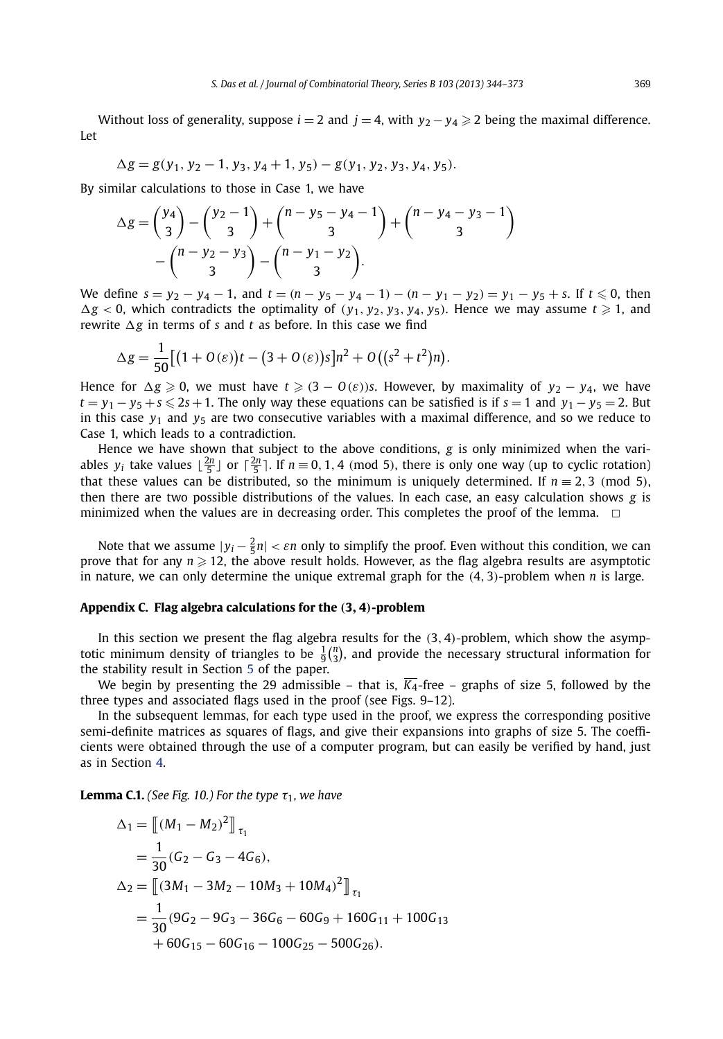<span id="page-25-0"></span>Without loss of generality, suppose  $i = 2$  and  $j = 4$ , with  $y_2 - y_4 \geqslant 2$  being the maximal difference. Let

$$
\Delta g = g(y_1, y_2 - 1, y_3, y_4 + 1, y_5) - g(y_1, y_2, y_3, y_4, y_5).
$$

By similar calculations to those in Case 1, we have

$$
\Delta g = \binom{y_4}{3} - \binom{y_2 - 1}{3} + \binom{n - y_5 - y_4 - 1}{3} + \binom{n - y_4 - y_3 - 1}{3} - \binom{n - y_2 - y_3}{3} - \binom{n - y_1 - y_2}{3}.
$$

We define  $s = y_2 - y_4 - 1$ , and  $t = (n - y_5 - y_4 - 1) - (n - y_1 - y_2) = y_1 - y_5 + s$ . If  $t \le 0$ , then  $\Delta g$  < 0, which contradicts the optimality of  $(y_1, y_2, y_3, y_4, y_5)$ . Hence we may assume  $t \geqslant 1$ , and rewrite  $\Delta g$  in terms of *s* and *t* as before. In this case we find

$$
\Delta g = \frac{1}{50} \left[ (1 + O(\varepsilon))t - (3 + O(\varepsilon))s \right] n^2 + O((s^2 + t^2)n).
$$

Hence for  $\Delta g \geqslant 0$ , we must have  $t \geqslant (3 - O(\varepsilon))$ s. However, by maximality of  $y_2 - y_4$ , we have *t* = *y*<sub>1</sub> − *y*<sub>5</sub> + *s*  $\le$  2*s* + 1. The only way these equations can be satisfied is if *s* = 1 and *y*<sub>1</sub> − *y*<sub>5</sub> = 2. But in this case  $y_1$  and  $y_5$  are two consecutive variables with a maximal difference, and so we reduce to Case 1, which leads to a contradiction.

Hence we have shown that subject to the above conditions, *g* is only minimized when the variables  $y_i$  take values  $\lfloor \frac{2n}{5} \rfloor$  or  $\lceil \frac{2n}{5} \rceil$ . If  $n \equiv 0, 1, 4 \pmod{5}$ , there is only one way (up to cyclic rotation) that these values can be distributed, so the minimum is uniquely determined. If  $n \equiv 2, 3 \pmod{5}$ , then there are two possible distributions of the values. In each case, an easy calculation shows *g* is minimized when the values are in decreasing order. This completes the proof of the lemma.  $\Box$ 

Note that we assume  $|y_i - \frac{2}{5}n| < \varepsilon n$  only to simplify the proof. Even without this condition, we can prove that for any  $n \geqslant 12$ , the above result holds. However, as the flag algebra results are asymptotic in nature, we can only determine the unique extremal graph for the *(*4*,* 3*)*-problem when *n* is large.

#### **Appendix C. Flag algebra calculations for the** *(***3***,* **4***)***-problem**

In this section we present the flag algebra results for the *(*3*,* 4*)*-problem, which show the asymptotic minimum density of triangles to be  $\frac{1}{9} {n \choose 3}$ , and provide the necessary structural information for the stability result in Section [5](#page-18-0) of the paper.

We begin by presenting the 29 admissible – that is,  $\overline{K_4}$ -free – graphs of size 5, followed by the three types and associated flags used in the proof (see Figs. 9–12).

In the subsequent lemmas, for each type used in the proof, we express the corresponding positive semi-definite matrices as squares of flags, and give their expansions into graphs of size 5. The coefficients were obtained through the use of a computer program, but can easily be verified by hand, just as in Section [4.](#page-10-0)

**Lemma C.1.** *(See Fig. 10.) For the type*  $\tau_1$ *, we have* 

$$
\Delta_1 = \left[ (M_1 - M_2)^2 \right]_{\tau_1}
$$
  
=  $\frac{1}{30} (G_2 - G_3 - 4G_6),$   

$$
\Delta_2 = \left[ (3M_1 - 3M_2 - 10M_3 + 10M_4)^2 \right]_{\tau_1}
$$
  
=  $\frac{1}{30} (9G_2 - 9G_3 - 36G_6 - 60G_9 + 160G_{11} + 100G_{13} + 60G_{15} - 60G_{16} - 100G_{25} - 500G_{26}).$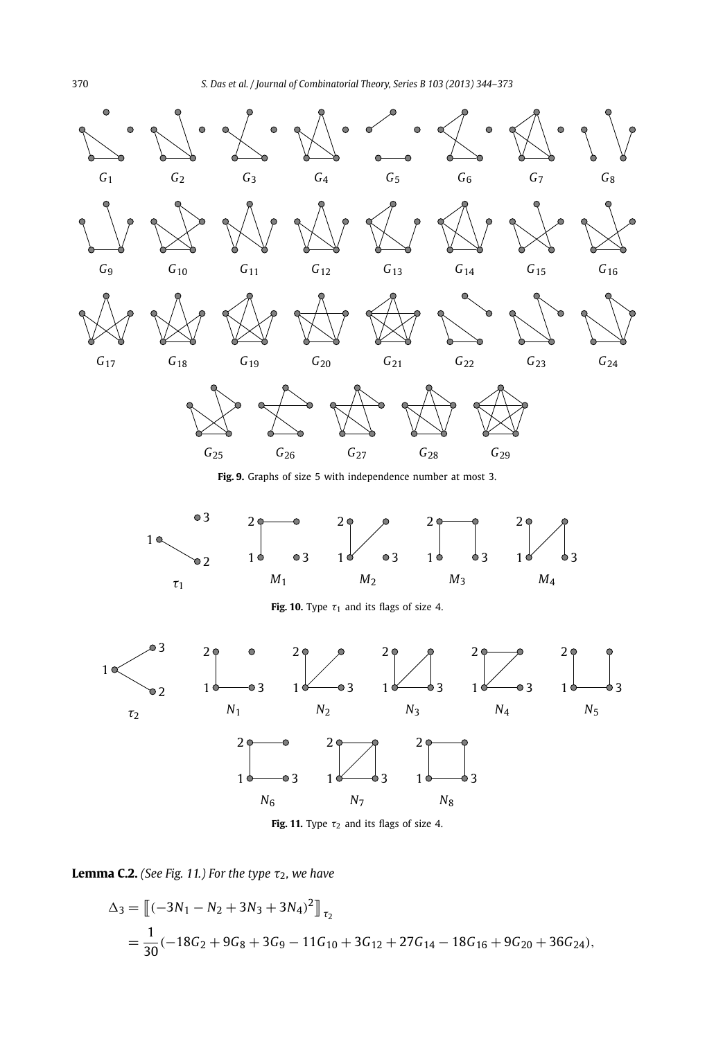







Fig. 11. Type  $\tau_2$  and its flags of size 4.



$$
\Delta_3 = \left[ (-3N_1 - N_2 + 3N_3 + 3N_4)^2 \right]_{\tau_2}
$$
  
=  $\frac{1}{30}(-18G_2 + 9G_8 + 3G_9 - 11G_{10} + 3G_{12} + 27G_{14} - 18G_{16} + 9G_{20} + 36G_{24}),$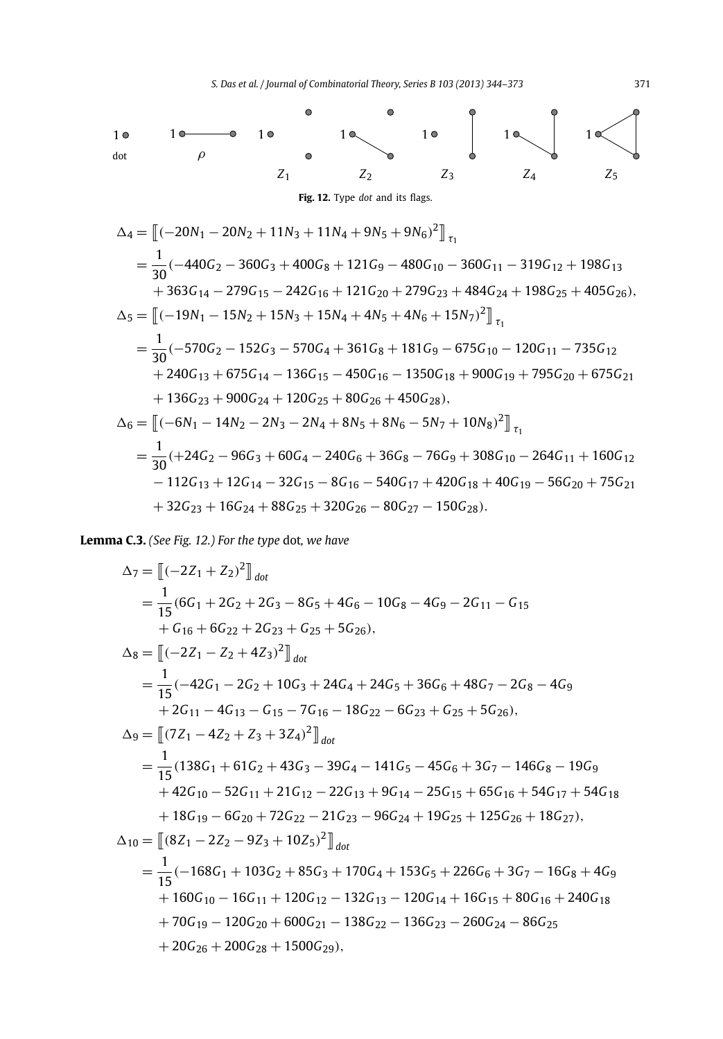

**Lemma C.3.** *(See Fig. 12.) For the type* dot*, we have*

$$
\Delta_7 = \left[ (-2Z_1 + Z_2)^2 \right]_{dot}
$$
\n
$$
= \frac{1}{15} (6G_1 + 2G_2 + 2G_3 - 8G_5 + 4G_6 - 10G_8 - 4G_9 - 2G_{11} - G_{15} + G_{16} + 6G_{22} + 2G_{23} + G_{25} + 5G_{26}),
$$
\n
$$
\Delta_8 = \left[ (-2Z_1 - Z_2 + 4Z_3)^2 \right]_{dot}
$$
\n
$$
= \frac{1}{15} (-42G_1 - 2G_2 + 10G_3 + 24G_4 + 24G_5 + 36G_6 + 48G_7 - 2G_8 - 4G_9 + 2G_{11} - 4G_{13} - G_{15} - 7G_{16} - 18G_{22} - 6G_{23} + G_{25} + 5G_{26}),
$$
\n
$$
\Delta_9 = \left[ (7Z_1 - 4Z_2 + Z_3 + 3Z_4)^2 \right]_{dot}
$$
\n
$$
= \frac{1}{15} (138G_1 + 61G_2 + 43G_3 - 39G_4 - 141G_5 - 45G_6 + 3G_7 - 146G_8 - 19G_9 + 42G_{10} - 52G_{11} + 21G_{12} - 22G_{13} + 9G_{14} - 25G_{15} + 65G_{16} + 54G_{17} + 54G_{18} + 18G_{19} - 6G_{20} + 72G_{22} - 21G_{23} - 96G_{24} + 19G_{25} + 125G_{26} + 18G_{27}),
$$
\n
$$
\Delta_{10} = \left[ (8Z_1 - 2Z_2 - 9Z_3 + 10Z_5)^2 \right]_{dot}
$$
\n
$$
= \frac{1}{15} (-168G_1 + 103G_2 + 85G_3 + 170G_4 + 153G_5 + 226G_6 + 3G_7 - 16G_8 + 4G_9 + 160G_{10} - 16G_{11} + 120G_{12} - 13
$$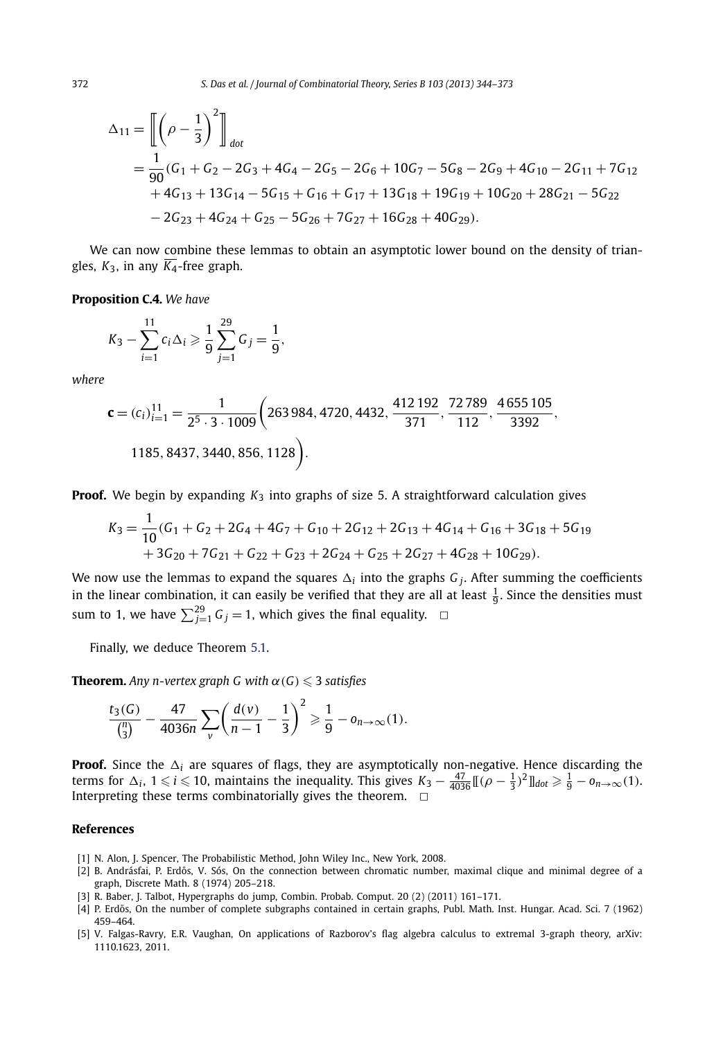$$
\Delta_{11} = \left[ \left( \rho - \frac{1}{3} \right)^2 \right]_{dot}
$$
  
=  $\frac{1}{90} (G_1 + G_2 - 2G_3 + 4G_4 - 2G_5 - 2G_6 + 10G_7 - 5G_8 - 2G_9 + 4G_{10} - 2G_{11} + 7G_{12} + 4G_{13} + 13G_{14} - 5G_{15} + G_{16} + G_{17} + 13G_{18} + 19G_{19} + 10G_{20} + 28G_{21} - 5G_{22} - 2G_{23} + 4G_{24} + G_{25} - 5G_{26} + 7G_{27} + 16G_{28} + 40G_{29}).$ 

We can now combine these lemmas to obtain an asymptotic lower bound on the density of triangles,  $K_3$ , in any  $\overline{K_4}$ -free graph.

**Proposition C.4.** *We have*

$$
K_3 - \sum_{i=1}^{11} c_i \Delta_i \geq \frac{1}{9} \sum_{j=1}^{29} G_j = \frac{1}{9},
$$

*where*

$$
\mathbf{c} = (c_i)_{i=1}^{11} = \frac{1}{2^5 \cdot 3 \cdot 1009} \bigg( 263\,984, 4720, 4432, \frac{412\,192}{371}, \frac{72\,789}{112}, \frac{4655\,105}{3392},
$$
  
1185, 8437, 3440, 856, 1128 \bigg).

**Proof.** We begin by expanding *K*<sup>3</sup> into graphs of size 5. A straightforward calculation gives

$$
K_3 = \frac{1}{10}(G_1 + G_2 + 2G_4 + 4G_7 + G_{10} + 2G_{12} + 2G_{13} + 4G_{14} + G_{16} + 3G_{18} + 5G_{19} + 3G_{20} + 7G_{21} + G_{22} + G_{23} + 2G_{24} + G_{25} + 2G_{27} + 4G_{28} + 10G_{29}).
$$

We now use the lemmas to expand the squares  $\Delta_i$  into the graphs  $G_j$ . After summing the coefficients in the linear combination, it can easily be verified that they are all at least  $\frac{1}{9}$ . Since the densities must sum to 1, we have  $\sum_{j=1}^{29} G_j = 1$ , which gives the final equality.  $\Box$ 

Finally, we deduce Theorem [5.1.](#page-18-0)

**Theorem.** Any n-vertex graph G with  $\alpha(G) \leq 3$  satisfies

$$
\frac{t_3(G)}{\binom{n}{3}} - \frac{47}{4036n} \sum_{v} \left( \frac{d(v)}{n-1} - \frac{1}{3} \right)^2 \geq \frac{1}{9} - o_{n \to \infty}(1).
$$

**Proof.** Since the  $\Delta_i$  are squares of flags, they are asymptotically non-negative. Hence discarding the terms for  $\Delta_i$ ,  $1 \leq i \leq 10$ , maintains the inequality. This gives  $K_3 - \frac{47}{4036} [(\rho - \frac{1}{3})^2]_{dot} \geq \frac{1}{9} - o_{n \to \infty}(1)$ . Interpreting these terms combinatorially gives the theorem.  $\Box$ 

### **References**

- [1] N. Alon, J. Spencer, The Probabilistic Method, John Wiley Inc., New York, 2008.
- [2] B. Andrásfai, P. Erdős, V. Sós, On the connection between chromatic number, maximal clique and minimal degree of a graph, Discrete Math. 8 (1974) 205–218.
- [3] R. Baber, J. Talbot, Hypergraphs do jump, Combin. Probab. Comput. 20 (2) (2011) 161–171.
- [4] P. Erdős, On the number of complete subgraphs contained in certain graphs, Publ. Math. Inst. Hungar. Acad. Sci. 7 (1962) 459–464.
- [5] V. Falgas-Ravry, E.R. Vaughan, On applications of Razborov's flag algebra calculus to extremal 3-graph theory, arXiv: 1110.1623, 2011.

<span id="page-28-0"></span>